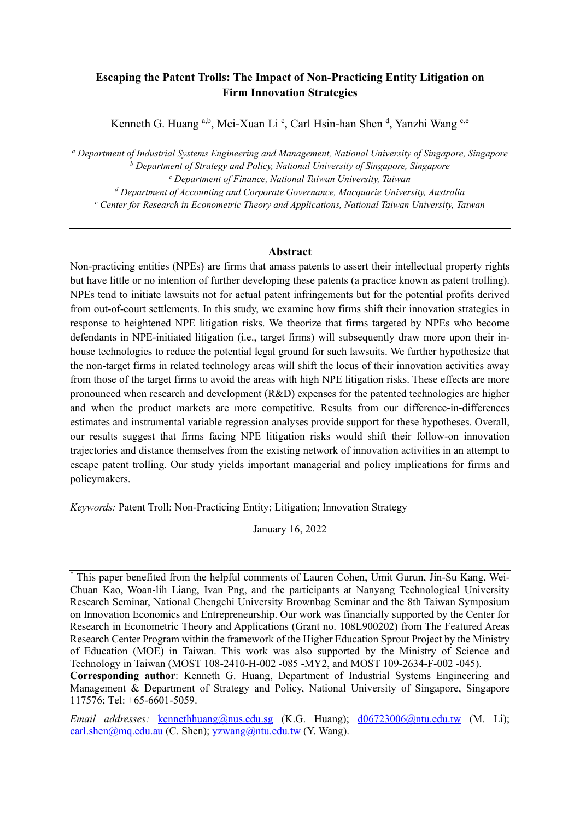## **Escaping the Patent Trolls: The Impact of Non-Practicing Entity Litigation on Firm Innovation Strategies**

Kenneth G. Huang <sup>a,b</sup>, Mei-Xuan Li <sup>c</sup>, Carl Hsin-han Shen <sup>d</sup>, Yanzhi Wang <sup>c,e</sup>

*<sup>a</sup> Department of Industrial Systems Engineering and Management, National University of Singapore, Singapore <sup>b</sup> Department of Strategy and Policy, National University of Singapore, Singapore <sup>c</sup> Department of Finance, National Taiwan University, Taiwan <sup>d</sup> Department of Accounting and Corporate Governance, Macquarie University, Australia <sup>e</sup> Center for Research in Econometric Theory and Applications, National Taiwan University, Taiwan*

#### **Abstract**

Non-practicing entities (NPEs) are firms that amass patents to assert their intellectual property rights but have little or no intention of further developing these patents (a practice known as patent trolling). NPEs tend to initiate lawsuits not for actual patent infringements but for the potential profits derived from out-of-court settlements. In this study, we examine how firms shift their innovation strategies in response to heightened NPE litigation risks. We theorize that firms targeted by NPEs who become defendants in NPE-initiated litigation (i.e., target firms) will subsequently draw more upon their inhouse technologies to reduce the potential legal ground for such lawsuits. We further hypothesize that the non-target firms in related technology areas will shift the locus of their innovation activities away from those of the target firms to avoid the areas with high NPE litigation risks. These effects are more pronounced when research and development (R&D) expenses for the patented technologies are higher and when the product markets are more competitive. Results from our difference-in-differences estimates and instrumental variable regression analyses provide support for these hypotheses. Overall, our results suggest that firms facing NPE litigation risks would shift their follow-on innovation trajectories and distance themselves from the existing network of innovation activities in an attempt to escape patent trolling. Our study yields important managerial and policy implications for firms and policymakers.

*Keywords:* Patent Troll; Non-Practicing Entity; Litigation; Innovation Strategy

January 16, 2022

<sup>\*</sup> This paper benefited from the helpful comments of Lauren Cohen, Umit Gurun, Jin-Su Kang, Wei-Chuan Kao, Woan-lih Liang, Ivan Png, and the participants at Nanyang Technological University Research Seminar, National Chengchi University Brownbag Seminar and the 8th Taiwan Symposium on Innovation Economics and Entrepreneurship. Our work was financially supported by the Center for Research in Econometric Theory and Applications (Grant no. 108L900202) from The Featured Areas Research Center Program within the framework of the Higher Education Sprout Project by the Ministry of Education (MOE) in Taiwan. This work was also supported by the Ministry of Science and Technology in Taiwan (MOST 108-2410-H-002 -085 -MY2, and MOST 109-2634-F-002 -045).

**Corresponding author**: Kenneth G. Huang, Department of Industrial Systems Engineering and Management & Department of Strategy and Policy, National University of Singapore, Singapore 117576; Tel: +65-6601-5059.

*Email addresses:* [kennethhuang@nus.edu.sg](mailto:kennethhuang@nus.edu.sg) (K.G. Huang); [d06723006@ntu.edu.tw](mailto:d06723006@ntu.edu.tw) (M. Li); [carl.shen@mq.edu.au](mailto:carl.shen@mq.edu.au) (C. Shen); [yzwang@ntu.edu.tw](mailto:yzwang@ntu.edu.tw) (Y. Wang).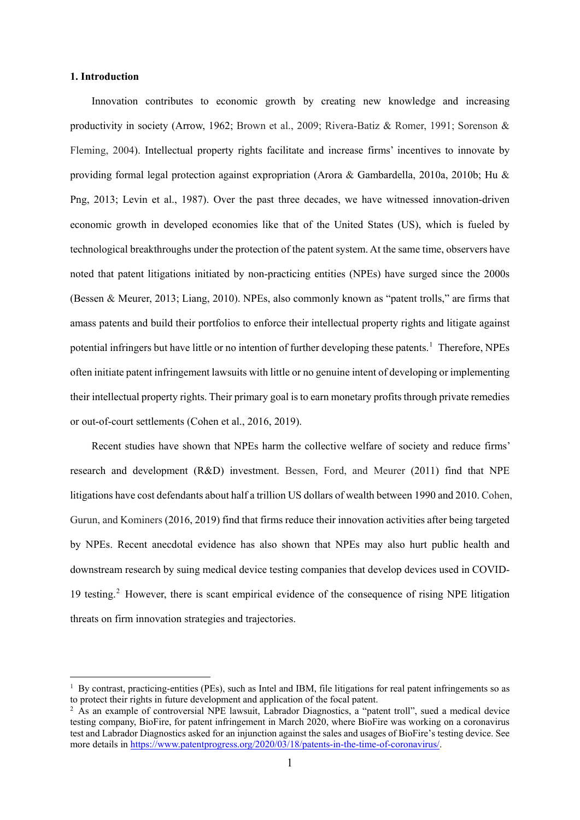#### **1. Introduction**

1

Innovation contributes to economic growth by creating new knowledge and increasing productivity in society (Arrow, 1962; Brown et al., 2009; Rivera-Batiz & Romer, 1991; Sorenson & Fleming, 2004). Intellectual property rights facilitate and increase firms' incentives to innovate by providing formal legal protection against expropriation (Arora & Gambardella, 2010a, 2010b; Hu & Png, 2013; Levin et al., 1987). Over the past three decades, we have witnessed innovation-driven economic growth in developed economies like that of the United States (US), which is fueled by technological breakthroughs under the protection of the patent system. At the same time, observers have noted that patent litigations initiated by non-practicing entities (NPEs) have surged since the 2000s (Bessen & Meurer, 2013; Liang, 2010). NPEs, also commonly known as "patent trolls," are firms that amass patents and build their portfolios to enforce their intellectual property rights and litigate against potential infringers but have little or no intention of further developing these patents.<sup>[1](#page-1-0)</sup> Therefore, NPEs often initiate patent infringement lawsuits with little or no genuine intent of developing or implementing their intellectual property rights. Their primary goal is to earn monetary profits through private remedies or out-of-court settlements (Cohen et al., 2016, 2019).

Recent studies have shown that NPEs harm the collective welfare of society and reduce firms' research and development (R&D) investment. Bessen, Ford, and Meurer (2011) find that NPE litigations have cost defendants about half a trillion US dollars of wealth between 1990 and 2010. Cohen, Gurun, and Kominers (2016, 2019) find that firms reduce their innovation activities after being targeted by NPEs. Recent anecdotal evidence has also shown that NPEs may also hurt public health and downstream research by suing medical device testing companies that develop devices used in COVID-19 testing.[2](#page-1-1) However, there is scant empirical evidence of the consequence of rising NPE litigation threats on firm innovation strategies and trajectories.

<span id="page-1-0"></span> $1$  By contrast, practicing-entities (PEs), such as Intel and IBM, file litigations for real patent infringements so as to protect their rights in future development and application of the focal patent.

<span id="page-1-1"></span><sup>&</sup>lt;sup>2</sup> As an example of controversial NPE lawsuit, Labrador Diagnostics, a "patent troll", sued a medical device testing company, BioFire, for patent infringement in March 2020, where BioFire was working on a coronavirus test and Labrador Diagnostics asked for an injunction against the sales and usages of BioFire's testing device. See more details in [https://www.patentprogress.org/2020/03/18/patents-in-the-time-of-coronavirus/.](https://www.patentprogress.org/2020/03/18/patents-in-the-time-of-coronavirus/)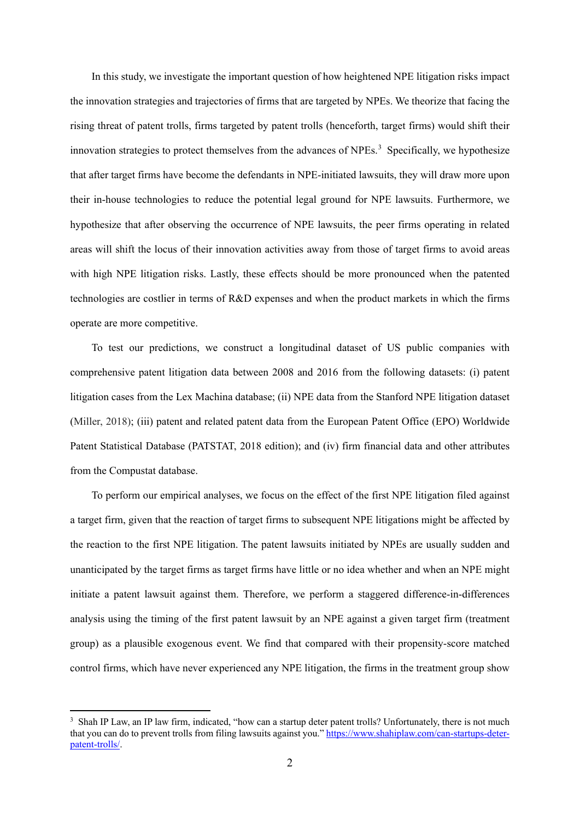In this study, we investigate the important question of how heightened NPE litigation risks impact the innovation strategies and trajectories of firms that are targeted by NPEs. We theorize that facing the rising threat of patent trolls, firms targeted by patent trolls (henceforth, target firms) would shift their innovation strategies to protect themselves from the advances of NPEs. [3](#page-2-0) Specifically, we hypothesize that after target firms have become the defendants in NPE-initiated lawsuits, they will draw more upon their in-house technologies to reduce the potential legal ground for NPE lawsuits. Furthermore, we hypothesize that after observing the occurrence of NPE lawsuits, the peer firms operating in related areas will shift the locus of their innovation activities away from those of target firms to avoid areas with high NPE litigation risks. Lastly, these effects should be more pronounced when the patented technologies are costlier in terms of R&D expenses and when the product markets in which the firms operate are more competitive.

To test our predictions, we construct a longitudinal dataset of US public companies with comprehensive patent litigation data between 2008 and 2016 from the following datasets: (i) patent litigation cases from the Lex Machina database; (ii) NPE data from the Stanford NPE litigation dataset (Miller, 2018); (iii) patent and related patent data from the European Patent Office (EPO) Worldwide Patent Statistical Database (PATSTAT, 2018 edition); and (iv) firm financial data and other attributes from the Compustat database.

To perform our empirical analyses, we focus on the effect of the first NPE litigation filed against a target firm, given that the reaction of target firms to subsequent NPE litigations might be affected by the reaction to the first NPE litigation. The patent lawsuits initiated by NPEs are usually sudden and unanticipated by the target firms as target firms have little or no idea whether and when an NPE might initiate a patent lawsuit against them. Therefore, we perform a staggered difference-in-differences analysis using the timing of the first patent lawsuit by an NPE against a given target firm (treatment group) as a plausible exogenous event. We find that compared with their propensity-score matched control firms, which have never experienced any NPE litigation, the firms in the treatment group show

1

<span id="page-2-0"></span><sup>&</sup>lt;sup>3</sup> Shah IP Law, an IP law firm, indicated, "how can a startup deter patent trolls? Unfortunately, there is not much that you can do to prevent trolls from filing lawsuits against you." [https://www.shahiplaw.com/can-startups-deter](https://www.shahiplaw.com/can-startups-deter-patent-trolls/)[patent-trolls/.](https://www.shahiplaw.com/can-startups-deter-patent-trolls/)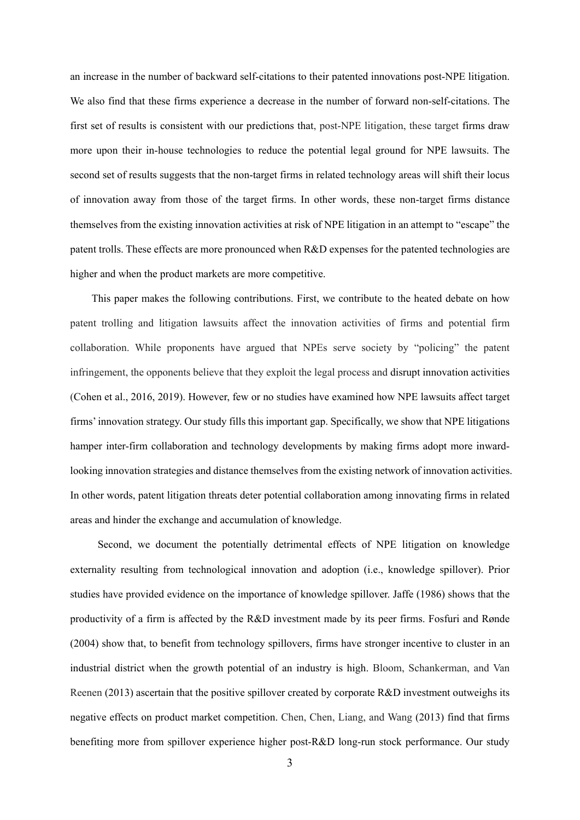an increase in the number of backward self-citations to their patented innovations post-NPE litigation. We also find that these firms experience a decrease in the number of forward non-self-citations. The first set of results is consistent with our predictions that, post-NPE litigation, these target firms draw more upon their in-house technologies to reduce the potential legal ground for NPE lawsuits. The second set of results suggests that the non-target firms in related technology areas will shift their locus of innovation away from those of the target firms. In other words, these non-target firms distance themselves from the existing innovation activities at risk of NPE litigation in an attempt to "escape" the patent trolls. These effects are more pronounced when R&D expenses for the patented technologies are higher and when the product markets are more competitive.

This paper makes the following contributions. First, we contribute to the heated debate on how patent trolling and litigation lawsuits affect the innovation activities of firms and potential firm collaboration. While proponents have argued that NPEs serve society by "policing" the patent infringement, the opponents believe that they exploit the legal process and disrupt innovation activities (Cohen et al., 2016, 2019). However, few or no studies have examined how NPE lawsuits affect target firms' innovation strategy. Our study fills this important gap. Specifically, we show that NPE litigations hamper inter-firm collaboration and technology developments by making firms adopt more inwardlooking innovation strategies and distance themselves from the existing network of innovation activities. In other words, patent litigation threats deter potential collaboration among innovating firms in related areas and hinder the exchange and accumulation of knowledge.

Second, we document the potentially detrimental effects of NPE litigation on knowledge externality resulting from technological innovation and adoption (i.e., knowledge spillover). Prior studies have provided evidence on the importance of knowledge spillover. Jaffe (1986) shows that the productivity of a firm is affected by the R&D investment made by its peer firms. Fosfuri and Rønde (2004) show that, to benefit from technology spillovers, firms have stronger incentive to cluster in an industrial district when the growth potential of an industry is high. Bloom, Schankerman, and Van Reenen (2013) ascertain that the positive spillover created by corporate R&D investment outweighs its negative effects on product market competition. Chen, Chen, Liang, and Wang (2013) find that firms benefiting more from spillover experience higher post-R&D long-run stock performance. Our study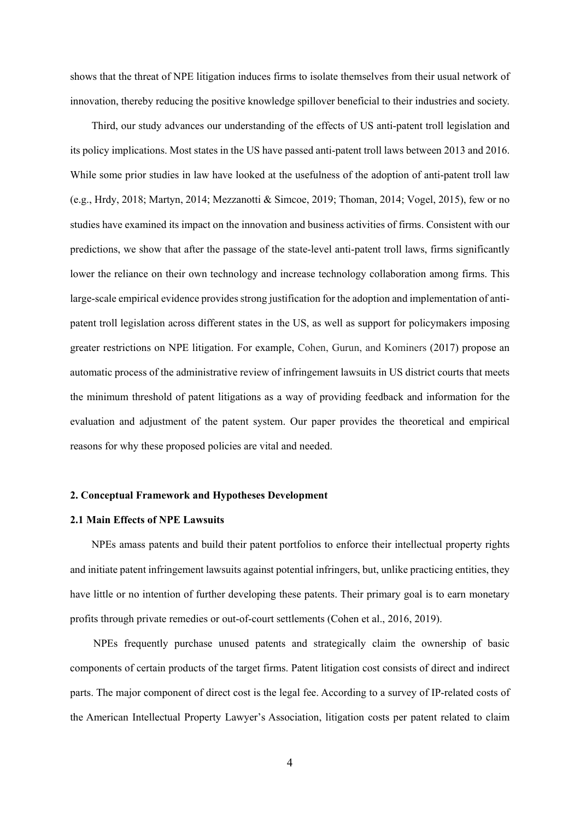shows that the threat of NPE litigation induces firms to isolate themselves from their usual network of innovation, thereby reducing the positive knowledge spillover beneficial to their industries and society.

Third, our study advances our understanding of the effects of US anti-patent troll legislation and its policy implications. Most states in the US have passed anti-patent troll laws between 2013 and 2016. While some prior studies in law have looked at the usefulness of the adoption of anti-patent troll law (e.g., Hrdy, 2018; Martyn, 2014; Mezzanotti & Simcoe, 2019; Thoman, 2014; Vogel, 2015), few or no studies have examined its impact on the innovation and business activities of firms. Consistent with our predictions, we show that after the passage of the state-level anti-patent troll laws, firms significantly lower the reliance on their own technology and increase technology collaboration among firms. This large-scale empirical evidence provides strong justification for the adoption and implementation of antipatent troll legislation across different states in the US, as well as support for policymakers imposing greater restrictions on NPE litigation. For example, Cohen, Gurun, and Kominers (2017) propose an automatic process of the administrative review of infringement lawsuits in US district courts that meets the minimum threshold of patent litigations as a way of providing feedback and information for the evaluation and adjustment of the patent system. Our paper provides the theoretical and empirical reasons for why these proposed policies are vital and needed.

#### **2. Conceptual Framework and Hypotheses Development**

#### **2.1 Main Effects of NPE Lawsuits**

NPEs amass patents and build their patent portfolios to enforce their intellectual property rights and initiate patent infringement lawsuits against potential infringers, but, unlike practicing entities, they have little or no intention of further developing these patents. Their primary goal is to earn monetary profits through private remedies or out-of-court settlements (Cohen et al., 2016, 2019).

NPEs frequently purchase unused patents and strategically claim the ownership of basic components of certain products of the target firms. Patent litigation cost consists of direct and indirect parts. The major component of direct cost is the legal fee. According to a survey of IP-related costs of the American Intellectual Property Lawyer's Association, litigation costs per patent related to claim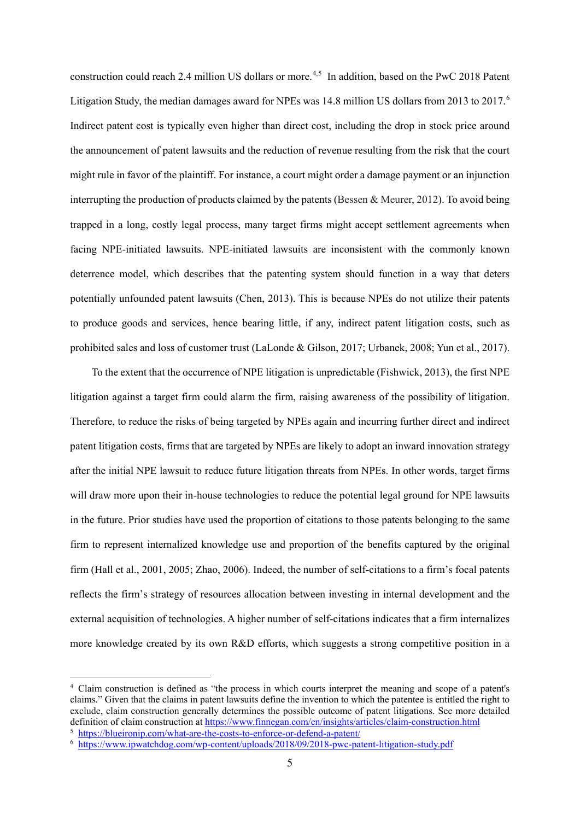construction could reach 2.4 million US dollars or more. [4,](#page-5-0)[5](#page-5-1) In addition, based on the PwC 2018 Patent Litigation Study, the median damages award for NPEs was 14.8 million US dollars from 2013 to 2017.<sup>[6](#page-5-2)</sup> Indirect patent cost is typically even higher than direct cost, including the drop in stock price around the announcement of patent lawsuits and the reduction of revenue resulting from the risk that the court might rule in favor of the plaintiff. For instance, a court might order a damage payment or an injunction interrupting the production of products claimed by the patents (Bessen & Meurer, 2012). To avoid being trapped in a long, costly legal process, many target firms might accept settlement agreements when facing NPE-initiated lawsuits. NPE-initiated lawsuits are inconsistent with the commonly known deterrence model, which describes that the patenting system should function in a way that deters potentially unfounded patent lawsuits (Chen, 2013). This is because NPEs do not utilize their patents to produce goods and services, hence bearing little, if any, indirect patent litigation costs, such as prohibited sales and loss of customer trust (LaLonde & Gilson, 2017; Urbanek, 2008; Yun et al., 2017).

To the extent that the occurrence of NPE litigation is unpredictable (Fishwick, 2013), the first NPE litigation against a target firm could alarm the firm, raising awareness of the possibility of litigation. Therefore, to reduce the risks of being targeted by NPEs again and incurring further direct and indirect patent litigation costs, firms that are targeted by NPEs are likely to adopt an inward innovation strategy after the initial NPE lawsuit to reduce future litigation threats from NPEs. In other words, target firms will draw more upon their in-house technologies to reduce the potential legal ground for NPE lawsuits in the future. Prior studies have used the proportion of citations to those patents belonging to the same firm to represent internalized knowledge use and proportion of the benefits captured by the original firm (Hall et al., 2001, 2005; Zhao, 2006). Indeed, the number of self-citations to a firm's focal patents reflects the firm's strategy of resources allocation between investing in internal development and the external acquisition of technologies. A higher number of self-citations indicates that a firm internalizes more knowledge created by its own R&D efforts, which suggests a strong competitive position in a

1

<span id="page-5-0"></span><sup>4</sup> Claim construction is defined as "the process in which courts interpret the meaning and scope of a patent's claims." Given that the claims in patent lawsuits define the invention to which the patentee is entitled the right to exclude, claim construction generally determines the possible outcome of patent litigations. See more detailed definition of claim construction a[t https://www.finnegan.com/en/insights/articles/claim-construction.html](https://www.finnegan.com/en/insights/articles/claim-construction.html)

<span id="page-5-1"></span><sup>5</sup> <https://blueironip.com/what-are-the-costs-to-enforce-or-defend-a-patent/>

<span id="page-5-2"></span><sup>6</sup> <https://www.ipwatchdog.com/wp-content/uploads/2018/09/2018-pwc-patent-litigation-study.pdf>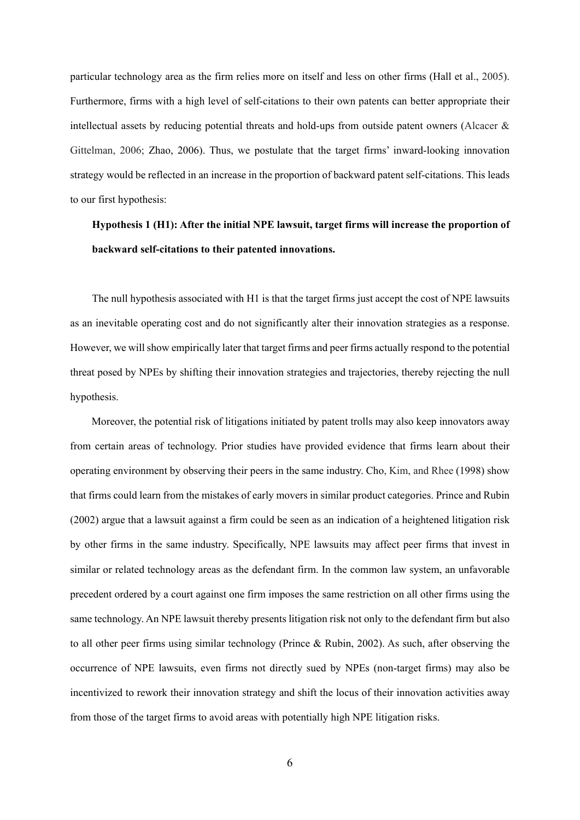particular technology area as the firm relies more on itself and less on other firms (Hall et al., 2005). Furthermore, firms with a high level of self-citations to their own patents can better appropriate their intellectual assets by reducing potential threats and hold-ups from outside patent owners (Alcacer & Gittelman, 2006; Zhao, 2006). Thus, we postulate that the target firms' inward-looking innovation strategy would be reflected in an increase in the proportion of backward patent self-citations. This leads to our first hypothesis:

# **Hypothesis 1 (H1): After the initial NPE lawsuit, target firms will increase the proportion of backward self-citations to their patented innovations.**

The null hypothesis associated with H1 is that the target firms just accept the cost of NPE lawsuits as an inevitable operating cost and do not significantly alter their innovation strategies as a response. However, we will show empirically later that target firms and peer firms actually respond to the potential threat posed by NPEs by shifting their innovation strategies and trajectories, thereby rejecting the null hypothesis.

Moreover, the potential risk of litigations initiated by patent trolls may also keep innovators away from certain areas of technology. Prior studies have provided evidence that firms learn about their operating environment by observing their peers in the same industry. Cho, Kim, and Rhee (1998) show that firms could learn from the mistakes of early movers in similar product categories. Prince and Rubin (2002) argue that a lawsuit against a firm could be seen as an indication of a heightened litigation risk by other firms in the same industry. Specifically, NPE lawsuits may affect peer firms that invest in similar or related technology areas as the defendant firm. In the common law system, an unfavorable precedent ordered by a court against one firm imposes the same restriction on all other firms using the same technology. An NPE lawsuit thereby presents litigation risk not only to the defendant firm but also to all other peer firms using similar technology (Prince & Rubin, 2002). As such, after observing the occurrence of NPE lawsuits, even firms not directly sued by NPEs (non-target firms) may also be incentivized to rework their innovation strategy and shift the locus of their innovation activities away from those of the target firms to avoid areas with potentially high NPE litigation risks.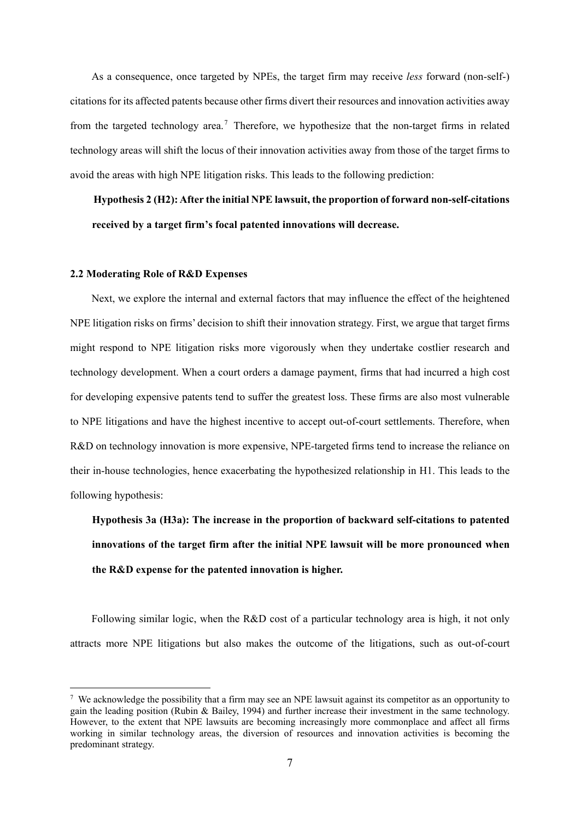As a consequence, once targeted by NPEs, the target firm may receive *less* forward (non-self-) citations for its affected patents because other firms divert their resources and innovation activities away from the targeted technology area.<sup>[7](#page-7-0)</sup> Therefore, we hypothesize that the non-target firms in related technology areas will shift the locus of their innovation activities away from those of the target firms to avoid the areas with high NPE litigation risks. This leads to the following prediction:

**Hypothesis 2 (H2): After the initial NPE lawsuit, the proportion of forward non-self-citations received by a target firm's focal patented innovations will decrease.**

#### **2.2 Moderating Role of R&D Expenses**

-

Next, we explore the internal and external factors that may influence the effect of the heightened NPE litigation risks on firms' decision to shift their innovation strategy. First, we argue that target firms might respond to NPE litigation risks more vigorously when they undertake costlier research and technology development. When a court orders a damage payment, firms that had incurred a high cost for developing expensive patents tend to suffer the greatest loss. These firms are also most vulnerable to NPE litigations and have the highest incentive to accept out-of-court settlements. Therefore, when R&D on technology innovation is more expensive, NPE-targeted firms tend to increase the reliance on their in-house technologies, hence exacerbating the hypothesized relationship in H1. This leads to the following hypothesis:

**Hypothesis 3a (H3a): The increase in the proportion of backward self-citations to patented innovations of the target firm after the initial NPE lawsuit will be more pronounced when the R&D expense for the patented innovation is higher.**

Following similar logic, when the R&D cost of a particular technology area is high, it not only attracts more NPE litigations but also makes the outcome of the litigations, such as out-of-court

<span id="page-7-0"></span><sup>&</sup>lt;sup>7</sup> We acknowledge the possibility that a firm may see an NPE lawsuit against its competitor as an opportunity to gain the leading position (Rubin & Bailey, 1994) and further increase their investment in the same technology. However, to the extent that NPE lawsuits are becoming increasingly more commonplace and affect all firms working in similar technology areas, the diversion of resources and innovation activities is becoming the predominant strategy.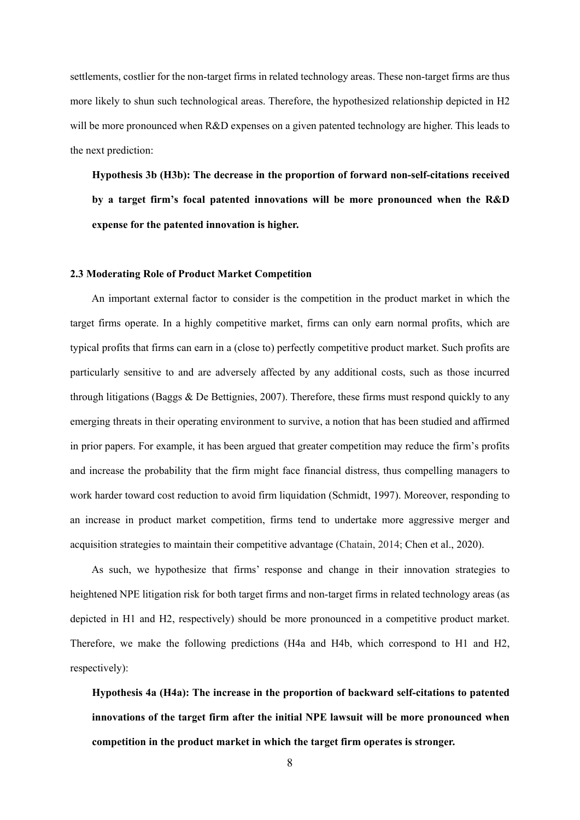settlements, costlier for the non-target firms in related technology areas. These non-target firms are thus more likely to shun such technological areas. Therefore, the hypothesized relationship depicted in H2 will be more pronounced when R&D expenses on a given patented technology are higher. This leads to the next prediction:

**Hypothesis 3b (H3b): The decrease in the proportion of forward non-self-citations received by a target firm's focal patented innovations will be more pronounced when the R&D expense for the patented innovation is higher.**

#### **2.3 Moderating Role of Product Market Competition**

An important external factor to consider is the competition in the product market in which the target firms operate. In a highly competitive market, firms can only earn normal profits, which are typical profits that firms can earn in a (close to) perfectly competitive product market. Such profits are particularly sensitive to and are adversely affected by any additional costs, such as those incurred through litigations (Baggs & De Bettignies, 2007). Therefore, these firms must respond quickly to any emerging threats in their operating environment to survive, a notion that has been studied and affirmed in prior papers. For example, it has been argued that greater competition may reduce the firm's profits and increase the probability that the firm might face financial distress, thus compelling managers to work harder toward cost reduction to avoid firm liquidation (Schmidt, 1997). Moreover, responding to an increase in product market competition, firms tend to undertake more aggressive merger and acquisition strategies to maintain their competitive advantage (Chatain, 2014; Chen et al., 2020).

As such, we hypothesize that firms' response and change in their innovation strategies to heightened NPE litigation risk for both target firms and non-target firms in related technology areas (as depicted in H1 and H2, respectively) should be more pronounced in a competitive product market. Therefore, we make the following predictions (H4a and H4b, which correspond to H1 and H2, respectively):

**Hypothesis 4a (H4a): The increase in the proportion of backward self-citations to patented innovations of the target firm after the initial NPE lawsuit will be more pronounced when competition in the product market in which the target firm operates is stronger.**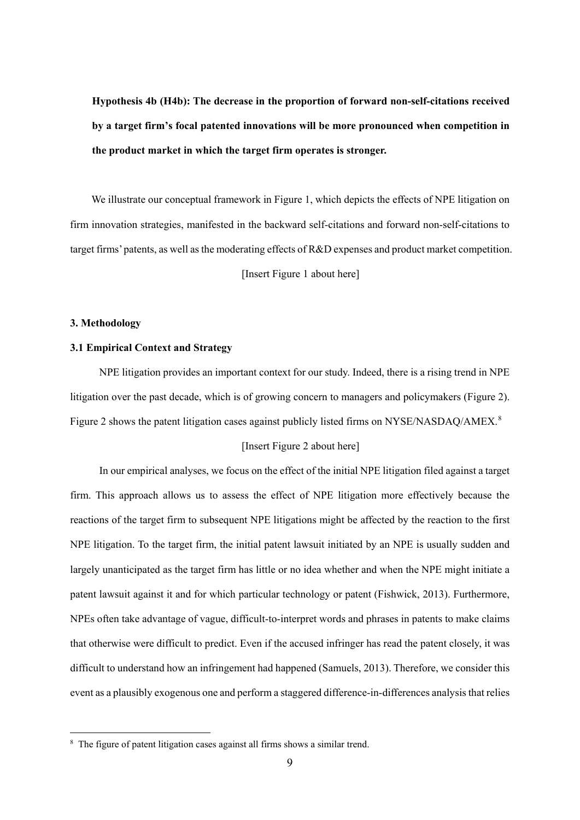**Hypothesis 4b (H4b): The decrease in the proportion of forward non-self-citations received by a target firm's focal patented innovations will be more pronounced when competition in the product market in which the target firm operates is stronger.**

We illustrate our conceptual framework in Figure 1, which depicts the effects of NPE litigation on firm innovation strategies, manifested in the backward self-citations and forward non-self-citations to target firms' patents, as well asthe moderating effects of R&D expenses and product market competition.

[Insert Figure 1 about here]

#### **3. Methodology**

-

#### **3.1 Empirical Context and Strategy**

NPE litigation provides an important context for our study. Indeed, there is a rising trend in NPE litigation over the past decade, which is of growing concern to managers and policymakers (Figure 2). Figure 2 shows the patent litigation cases against publicly listed firms on NYSE/NASDAO/AMEX.<sup>[8](#page-9-0)</sup>

#### [Insert Figure 2 about here]

In our empirical analyses, we focus on the effect of the initial NPE litigation filed against a target firm. This approach allows us to assess the effect of NPE litigation more effectively because the reactions of the target firm to subsequent NPE litigations might be affected by the reaction to the first NPE litigation. To the target firm, the initial patent lawsuit initiated by an NPE is usually sudden and largely unanticipated as the target firm has little or no idea whether and when the NPE might initiate a patent lawsuit against it and for which particular technology or patent (Fishwick, 2013). Furthermore, NPEs often take advantage of vague, difficult-to-interpret words and phrases in patents to make claims that otherwise were difficult to predict. Even if the accused infringer has read the patent closely, it was difficult to understand how an infringement had happened (Samuels, 2013). Therefore, we consider this event as a plausibly exogenous one and perform a staggered difference-in-differences analysis that relies

<span id="page-9-0"></span><sup>&</sup>lt;sup>8</sup> The figure of patent litigation cases against all firms shows a similar trend.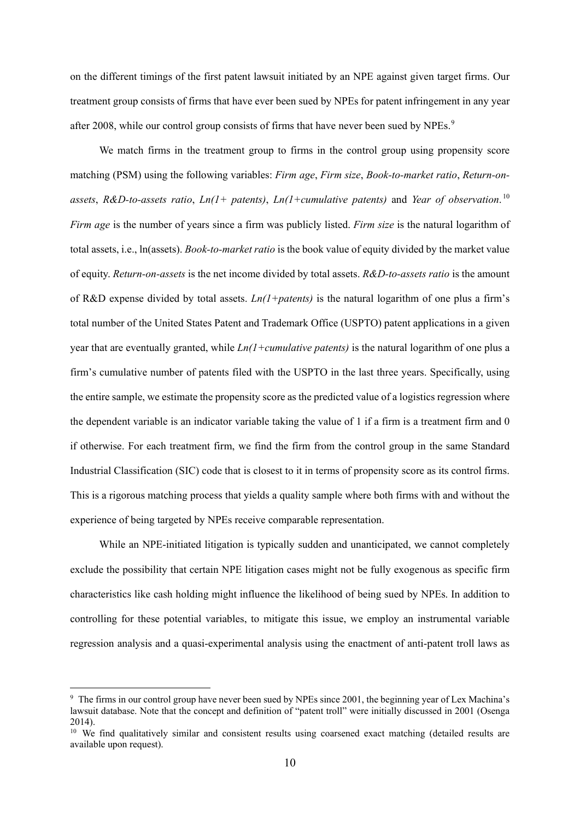on the different timings of the first patent lawsuit initiated by an NPE against given target firms. Our treatment group consists of firms that have ever been sued by NPEs for patent infringement in any year after 2008, while our control group consists of firms that have never been sued by NPEs.<sup>[9](#page-10-0)</sup>

We match firms in the treatment group to firms in the control group using propensity score matching (PSM) using the following variables: *Firm age*, *Firm size*, *Book-to-market ratio*, *Return-onassets*, *R&D-to-assets ratio*, *Ln(1+ patents)*, *Ln(1+cumulative patents)* and *Year of observation*. [10](#page-10-1) *Firm age* is the number of years since a firm was publicly listed. *Firm size* is the natural logarithm of total assets, i.e., ln(assets). *Book-to-market ratio* is the book value of equity divided by the market value of equity. *Return-on-assets* is the net income divided by total assets. *R&D-to-assets ratio* is the amount of R&D expense divided by total assets. *Ln(1+patents)* is the natural logarithm of one plus a firm's total number of the United States Patent and Trademark Office (USPTO) patent applications in a given year that are eventually granted, while *Ln(1+cumulative patents)* is the natural logarithm of one plus a firm's cumulative number of patents filed with the USPTO in the last three years. Specifically, using the entire sample, we estimate the propensity score as the predicted value of a logistics regression where the dependent variable is an indicator variable taking the value of 1 if a firm is a treatment firm and 0 if otherwise. For each treatment firm, we find the firm from the control group in the same Standard Industrial Classification (SIC) code that is closest to it in terms of propensity score as its control firms. This is a rigorous matching process that yields a quality sample where both firms with and without the experience of being targeted by NPEs receive comparable representation.

While an NPE-initiated litigation is typically sudden and unanticipated, we cannot completely exclude the possibility that certain NPE litigation cases might not be fully exogenous as specific firm characteristics like cash holding might influence the likelihood of being sued by NPEs. In addition to controlling for these potential variables, to mitigate this issue, we employ an instrumental variable regression analysis and a quasi-experimental analysis using the enactment of anti-patent troll laws as

-

<span id="page-10-0"></span><sup>9</sup> The firms in our control group have never been sued by NPEs since 2001, the beginning year of Lex Machina's lawsuit database. Note that the concept and definition of "patent troll" were initially discussed in 2001 (Osenga 2014).

<span id="page-10-1"></span><sup>&</sup>lt;sup>10</sup> We find qualitatively similar and consistent results using coarsened exact matching (detailed results are available upon request).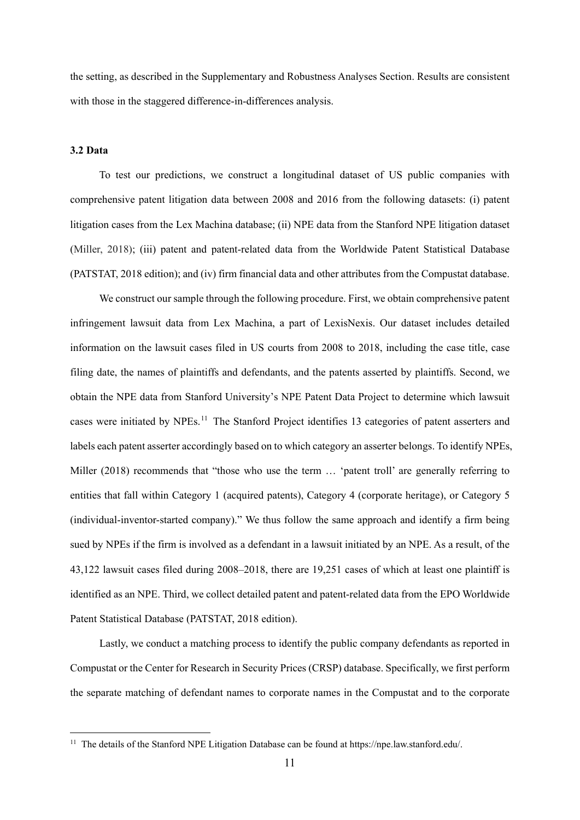the setting, as described in the Supplementary and Robustness Analyses Section. Results are consistent with those in the staggered difference-in-differences analysis.

#### **3.2 Data**

-

To test our predictions, we construct a longitudinal dataset of US public companies with comprehensive patent litigation data between 2008 and 2016 from the following datasets: (i) patent litigation cases from the Lex Machina database; (ii) NPE data from the Stanford NPE litigation dataset (Miller, 2018); (iii) patent and patent-related data from the Worldwide Patent Statistical Database (PATSTAT, 2018 edition); and (iv) firm financial data and other attributes from the Compustat database.

We construct our sample through the following procedure. First, we obtain comprehensive patent infringement lawsuit data from Lex Machina, a part of LexisNexis. Our dataset includes detailed information on the lawsuit cases filed in US courts from 2008 to 2018, including the case title, case filing date, the names of plaintiffs and defendants, and the patents asserted by plaintiffs. Second, we obtain the NPE data from Stanford University's NPE Patent Data Project to determine which lawsuit cases were initiated by NPEs.<sup>[11](#page-11-0)</sup> The Stanford Project identifies 13 categories of patent asserters and labels each patent asserter accordingly based on to which category an asserter belongs. To identify NPEs, Miller (2018) recommends that "those who use the term … 'patent troll' are generally referring to entities that fall within Category 1 (acquired patents), Category 4 (corporate heritage), or Category 5 (individual-inventor-started company)." We thus follow the same approach and identify a firm being sued by NPEs if the firm is involved as a defendant in a lawsuit initiated by an NPE. As a result, of the 43,122 lawsuit cases filed during 2008–2018, there are 19,251 cases of which at least one plaintiff is identified as an NPE. Third, we collect detailed patent and patent-related data from the EPO Worldwide Patent Statistical Database (PATSTAT, 2018 edition).

Lastly, we conduct a matching process to identify the public company defendants as reported in Compustat or the Center for Research in Security Prices (CRSP) database. Specifically, we first perform the separate matching of defendant names to corporate names in the Compustat and to the corporate

<span id="page-11-0"></span><sup>&</sup>lt;sup>11</sup> The details of the Stanford NPE Litigation Database can be found at https://npe.law.stanford.edu/.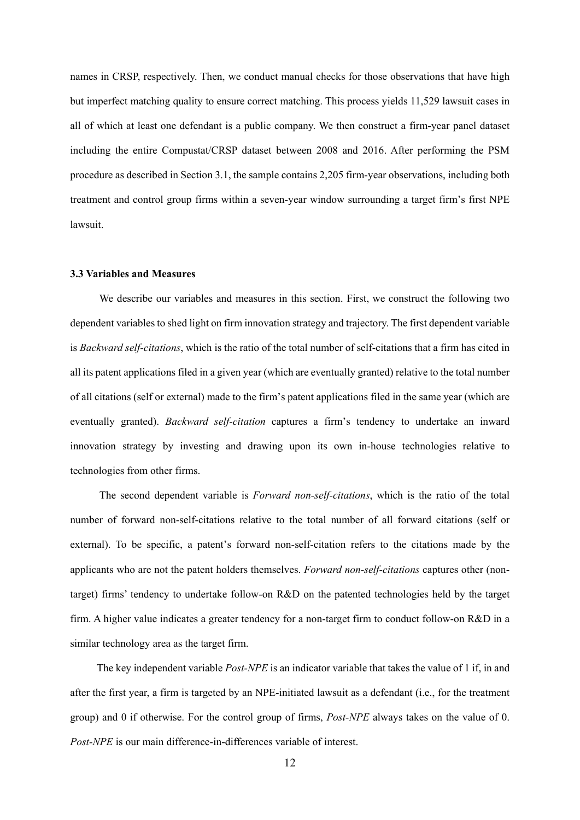names in CRSP, respectively. Then, we conduct manual checks for those observations that have high but imperfect matching quality to ensure correct matching. This process yields 11,529 lawsuit cases in all of which at least one defendant is a public company. We then construct a firm-year panel dataset including the entire Compustat/CRSP dataset between 2008 and 2016. After performing the PSM procedure as described in Section 3.1, the sample contains 2,205 firm-year observations, including both treatment and control group firms within a seven-year window surrounding a target firm's first NPE lawsuit.

#### **3.3 Variables and Measures**

We describe our variables and measures in this section. First, we construct the following two dependent variables to shed light on firm innovation strategy and trajectory. The first dependent variable is *Backward self-citations*, which is the ratio of the total number of self-citations that a firm has cited in all its patent applications filed in a given year (which are eventually granted) relative to the total number of all citations (self or external) made to the firm's patent applications filed in the same year (which are eventually granted). *Backward self-citation* captures a firm's tendency to undertake an inward innovation strategy by investing and drawing upon its own in-house technologies relative to technologies from other firms.

The second dependent variable is *Forward non-self-citations*, which is the ratio of the total number of forward non-self-citations relative to the total number of all forward citations (self or external). To be specific, a patent's forward non-self-citation refers to the citations made by the applicants who are not the patent holders themselves. *Forward non-self-citations* captures other (nontarget) firms' tendency to undertake follow-on R&D on the patented technologies held by the target firm. A higher value indicates a greater tendency for a non-target firm to conduct follow-on R&D in a similar technology area as the target firm.

The key independent variable *Post-NPE* is an indicator variable that takes the value of 1 if, in and after the first year, a firm is targeted by an NPE-initiated lawsuit as a defendant (i.e., for the treatment group) and 0 if otherwise. For the control group of firms, *Post-NPE* always takes on the value of 0. *Post-NPE* is our main difference-in-differences variable of interest.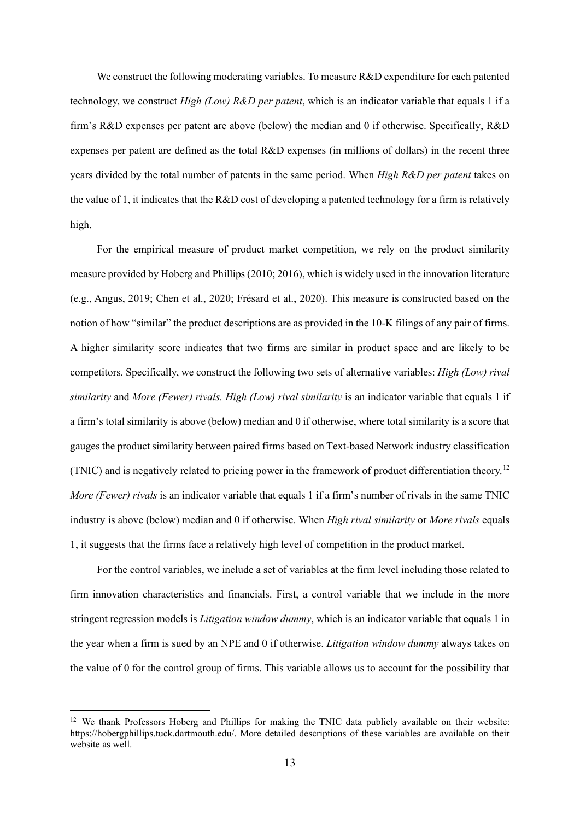We construct the following moderating variables. To measure R&D expenditure for each patented technology, we construct *High (Low) R&D per patent*, which is an indicator variable that equals 1 if a firm's R&D expenses per patent are above (below) the median and 0 if otherwise. Specifically, R&D expenses per patent are defined as the total R&D expenses (in millions of dollars) in the recent three years divided by the total number of patents in the same period. When *High R&D per patent* takes on the value of 1, it indicates that the R&D cost of developing a patented technology for a firm is relatively high.

For the empirical measure of product market competition, we rely on the product similarity measure provided by Hoberg and Phillips (2010; 2016), which is widely used in the innovation literature (e.g., Angus, 2019; Chen et al., 2020; Frésard et al., 2020). This measure is constructed based on the notion of how "similar" the product descriptions are as provided in the 10-K filings of any pair of firms. A higher similarity score indicates that two firms are similar in product space and are likely to be competitors. Specifically, we construct the following two sets of alternative variables: *High (Low) rival similarity* and *More (Fewer) rivals. High (Low) rival similarity* is an indicator variable that equals 1 if a firm's total similarity is above (below) median and 0 if otherwise, where total similarity is a score that gauges the product similarity between paired firms based on Text-based Network industry classification (TNIC) and is negatively related to pricing power in the framework of product differentiation theory. [12](#page-13-0) *More (Fewer) rivals* is an indicator variable that equals 1 if a firm's number of rivals in the same TNIC industry is above (below) median and 0 if otherwise. When *High rival similarity* or *More rivals* equals 1, it suggests that the firms face a relatively high level of competition in the product market.

For the control variables, we include a set of variables at the firm level including those related to firm innovation characteristics and financials. First, a control variable that we include in the more stringent regression models is *Litigation window dummy*, which is an indicator variable that equals 1 in the year when a firm is sued by an NPE and 0 if otherwise. *Litigation window dummy* always takes on the value of 0 for the control group of firms. This variable allows us to account for the possibility that

1

<span id="page-13-0"></span> $12$  We thank Professors Hoberg and Phillips for making the TNIC data publicly available on their website: [https://hobergphillips.tuck.dartmouth.edu/.](https://hobergphillips.tuck.dartmouth.edu/) More detailed descriptions of these variables are available on their website as well.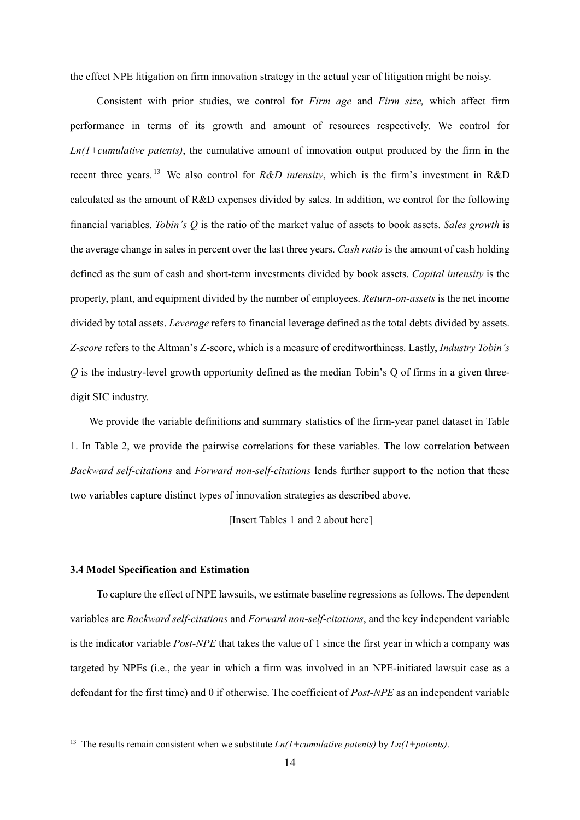the effect NPE litigation on firm innovation strategy in the actual year of litigation might be noisy.

Consistent with prior studies, we control for *Firm age* and *Firm size,* which affect firm performance in terms of its growth and amount of resources respectively. We control for *Ln(1+cumulative patents)*, the cumulative amount of innovation output produced by the firm in the recent three years*.* [13](#page-14-0) We also control for *R&D intensity*, which is the firm's investment in R&D calculated as the amount of R&D expenses divided by sales. In addition, we control for the following financial variables. *Tobin's Q* is the ratio of the market value of assets to book assets. *Sales growth* is the average change in sales in percent over the last three years. *Cash ratio* is the amount of cash holding defined as the sum of cash and short-term investments divided by book assets. *Capital intensity* is the property, plant, and equipment divided by the number of employees. *Return-on-assets* is the net income divided by total assets. *Leverage* refers to financial leverage defined as the total debts divided by assets. *Z-score* refers to the Altman's Z-score, which is a measure of creditworthiness. Lastly, *Industry Tobin's Q* is the industry-level growth opportunity defined as the median Tobin's Q of firms in a given threedigit SIC industry.

We provide the variable definitions and summary statistics of the firm-year panel dataset in Table 1. In Table 2, we provide the pairwise correlations for these variables. The low correlation between *Backward self-citations* and *Forward non-self-citations* lends further support to the notion that these two variables capture distinct types of innovation strategies as described above.

[Insert Tables 1 and 2 about here]

#### **3.4 Model Specification and Estimation**

-

To capture the effect of NPE lawsuits, we estimate baseline regressions as follows. The dependent variables are *Backward self-citations* and *Forward non-self-citations*, and the key independent variable is the indicator variable *Post-NPE* that takes the value of 1 since the first year in which a company was targeted by NPEs (i.e., the year in which a firm was involved in an NPE-initiated lawsuit case as a defendant for the first time) and 0 if otherwise. The coefficient of *Post-NPE* as an independent variable

<span id="page-14-0"></span><sup>13</sup> The results remain consistent when we substitute *Ln(1+cumulative patents)* by *Ln(1+patents)*.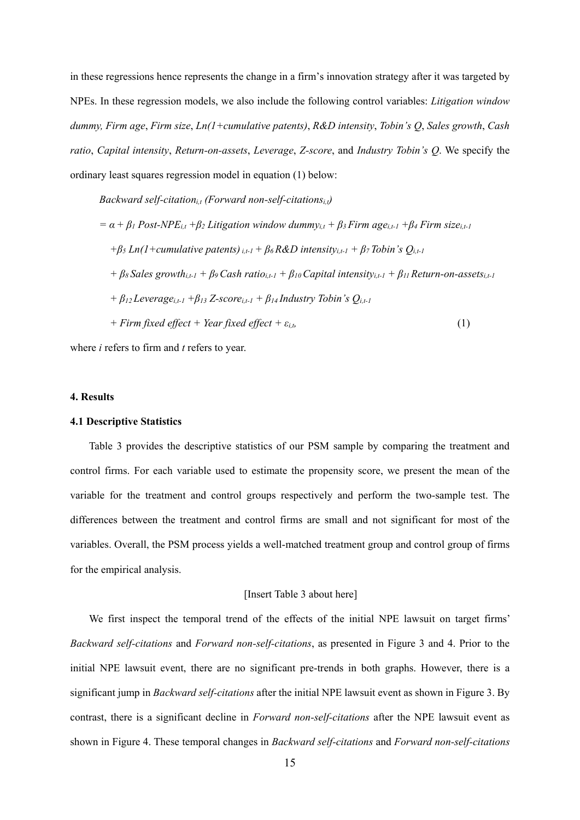in these regressions hence represents the change in a firm's innovation strategy after it was targeted by NPEs. In these regression models, we also include the following control variables: *Litigation window dummy, Firm age*, *Firm size*, *Ln(1+cumulative patents)*, *R&D intensity*, *Tobin's Q*, *Sales growth*, *Cash ratio*, *Capital intensity*, *Return-on-assets*, *Leverage*, *Z-score*, and *Industry Tobin's Q*. We specify the ordinary least squares regression model in equation (1) below:

*Backward self-citation*<sub>it</sub> (*Forward non-self-citations*<sub>it</sub>)  $a = \alpha + \beta_1$  *Post-NPE<sub>it</sub>*  $+\beta_2$  *Litigation window dummy<sub>it</sub>*  $+\beta_3$  *Firm age<sub>it-1</sub>*  $+\beta_4$  *Firm size<sub>it-1</sub>*  $+ \beta_5$  *Ln(1+cumulative patents)*<sub>*i,t-1</sub>* +  $\beta_6$  *R&D intensity<sub>i,t-1</sub> +*  $\beta_7$  *Tobin's*  $Q_{i,t-1}$ </sub>  $+ \beta_{8}$  *Sales growth*<sub>i,t-1</sub>  $+ \beta_{9}$  *Cash ratio*<sub>i,t-1</sub>  $+ \beta_{10}$  *Capital intensity*<sub>i,t-1</sub>  $+ \beta_{11}$  *Return-on-assets*<sub>i,t-1</sub>  $+ \beta_{12}$  *Leverage*<sub>*i*,t-1</sub>  $+ \beta_{13}$  *Z-score*<sub>*i*,t-1</sub>  $+ \beta_{14}$  *Industry Tobin's Q<sub>i,t-1</sub> + Firm fixed effect + Year fixed effect +*  $\varepsilon$ *<sub><i>i,t*</sub></sub> (1)</sub>  $(1)$ 

where *i* refers to firm and *t* refers to year.

#### **4. Results**

#### **4.1 Descriptive Statistics**

Table 3 provides the descriptive statistics of our PSM sample by comparing the treatment and control firms. For each variable used to estimate the propensity score, we present the mean of the variable for the treatment and control groups respectively and perform the two-sample test. The differences between the treatment and control firms are small and not significant for most of the variables. Overall, the PSM process yields a well-matched treatment group and control group of firms for the empirical analysis.

#### [Insert Table 3 about here]

We first inspect the temporal trend of the effects of the initial NPE lawsuit on target firms' *Backward self-citations* and *Forward non-self-citations*, as presented in Figure 3 and 4. Prior to the initial NPE lawsuit event, there are no significant pre-trends in both graphs. However, there is a significant jump in *Backward self-citations* after the initial NPE lawsuit event as shown in Figure 3. By contrast, there is a significant decline in *Forward non-self-citations* after the NPE lawsuit event as shown in Figure 4. These temporal changes in *Backward self-citations* and *Forward non-self-citations*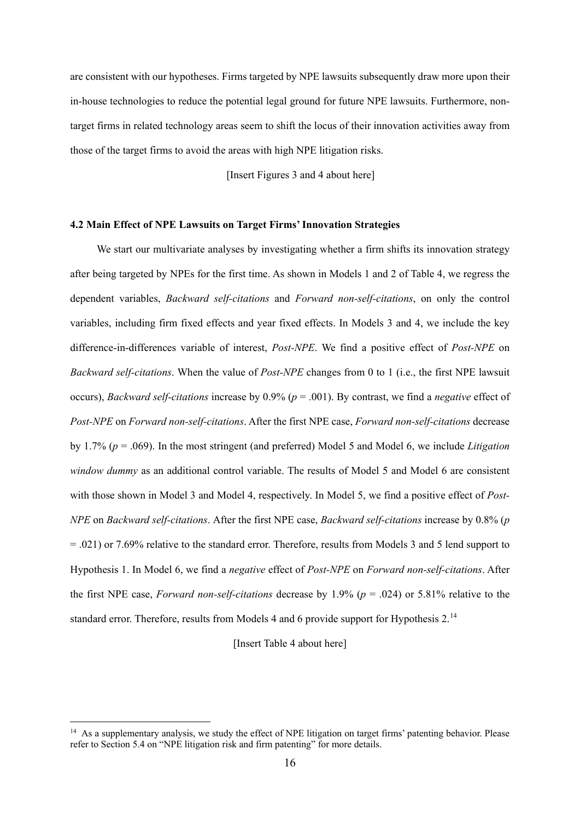are consistent with our hypotheses. Firms targeted by NPE lawsuits subsequently draw more upon their in-house technologies to reduce the potential legal ground for future NPE lawsuits. Furthermore, nontarget firms in related technology areas seem to shift the locus of their innovation activities away from those of the target firms to avoid the areas with high NPE litigation risks.

[Insert Figures 3 and 4 about here]

#### **4.2 Main Effect of NPE Lawsuits on Target Firms'Innovation Strategies**

We start our multivariate analyses by investigating whether a firm shifts its innovation strategy after being targeted by NPEs for the first time. As shown in Models 1 and 2 of Table 4, we regress the dependent variables, *Backward self-citations* and *Forward non-self-citations*, on only the control variables, including firm fixed effects and year fixed effects. In Models 3 and 4, we include the key difference-in-differences variable of interest, *Post-NPE*. We find a positive effect of *Post-NPE* on *Backward self-citations*. When the value of *Post-NPE* changes from 0 to 1 (i.e., the first NPE lawsuit occurs), *Backward self-citations* increase by 0.9% (*p* = .001). By contrast, we find a *negative* effect of *Post-NPE* on *Forward non-self-citations*. After the first NPE case, *Forward non-self-citations* decrease by 1.7% (*p* = .069). In the most stringent (and preferred) Model 5 and Model 6, we include *Litigation window dummy* as an additional control variable. The results of Model 5 and Model 6 are consistent with those shown in Model 3 and Model 4, respectively. In Model 5, we find a positive effect of *Post-NPE* on *Backward self-citations*. After the first NPE case, *Backward self-citations* increase by 0.8% (*p* = .021) or 7.69% relative to the standard error. Therefore, results from Models 3 and 5 lend support to Hypothesis 1. In Model 6, we find a *negative* effect of *Post-NPE* on *Forward non-self-citations*. After the first NPE case, *Forward non-self-citations* decrease by 1.9% (*p* = .024) or 5.81% relative to the standard error. Therefore, results from Models 4 and 6 provide support for Hypothesis 2.<sup>[14](#page-16-0)</sup>

[Insert Table 4 about here]

-

<span id="page-16-0"></span><sup>&</sup>lt;sup>14</sup> As a supplementary analysis, we study the effect of NPE litigation on target firms' patenting behavior. Please refer to Section 5.4 on "NPE litigation risk and firm patenting" for more details.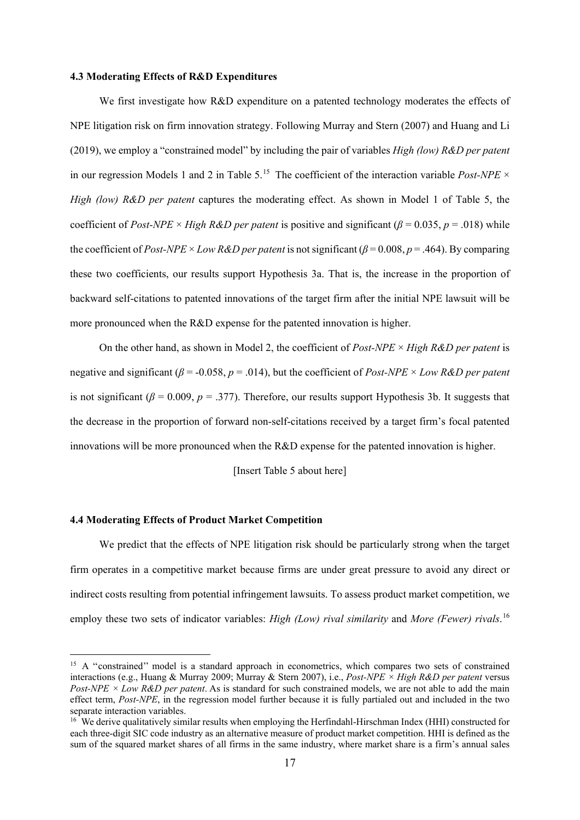#### **4.3 Moderating Effects of R&D Expenditures**

We first investigate how R&D expenditure on a patented technology moderates the effects of NPE litigation risk on firm innovation strategy. Following Murray and Stern (2007) and Huang and Li (2019), we employ a "constrained model" by including the pair of variables *High (low) R&D per patent* in our regression Models 1 and 2 in Table 5.[15](#page-17-0) The coefficient of the interaction variable *Post-NPE* × *High (low) R&D per patent* captures the moderating effect. As shown in Model 1 of Table 5, the coefficient of *Post-NPE* × *High R&D per patent* is positive and significant ( $\beta$  = 0.035,  $p$  = .018) while the coefficient of *Post-NPE* × *Low R&D per patent* is not significant ( $\beta$  = 0.008,  $p$  = .464). By comparing these two coefficients, our results support Hypothesis 3a. That is, the increase in the proportion of backward self-citations to patented innovations of the target firm after the initial NPE lawsuit will be more pronounced when the R&D expense for the patented innovation is higher.

On the other hand, as shown in Model 2, the coefficient of *Post-NPE* × *High R&D per patent* is negative and significant (*β* = -0.058, *p* = .014), but the coefficient of *Post-NPE* × *Low R&D per patent* is not significant ( $\beta$  = 0.009,  $p$  = .377). Therefore, our results support Hypothesis 3b. It suggests that the decrease in the proportion of forward non-self-citations received by a target firm's focal patented innovations will be more pronounced when the R&D expense for the patented innovation is higher.

[Insert Table 5 about here]

#### **4.4 Moderating Effects of Product Market Competition**

-

We predict that the effects of NPE litigation risk should be particularly strong when the target firm operates in a competitive market because firms are under great pressure to avoid any direct or indirect costs resulting from potential infringement lawsuits. To assess product market competition, we employ these two sets of indicator variables: *High (Low) rival similarity* and *More (Fewer) rivals*. [16](#page-17-1)

<span id="page-17-0"></span><sup>&</sup>lt;sup>15</sup> A "constrained" model is a standard approach in econometrics, which compares two sets of constrained interactions (e.g., Huang & Murray 2009; Murray & Stern 2007), i.e., *Post-NPE × High R&D per patent* versus *Post-NPE × Low R&D per patent*. As is standard for such constrained models, we are not able to add the main effect term, *Post-NPE*, in the regression model further because it is fully partialed out and included in the two separate interaction variables.

<span id="page-17-1"></span><sup>&</sup>lt;sup>16</sup> We derive qualitatively similar results when employing the Herfindahl-Hirschman Index (HHI) constructed for each three-digit SIC code industry as an alternative measure of product market competition. HHI is defined as the sum of the squared market shares of all firms in the same industry, where market share is a firm's annual sales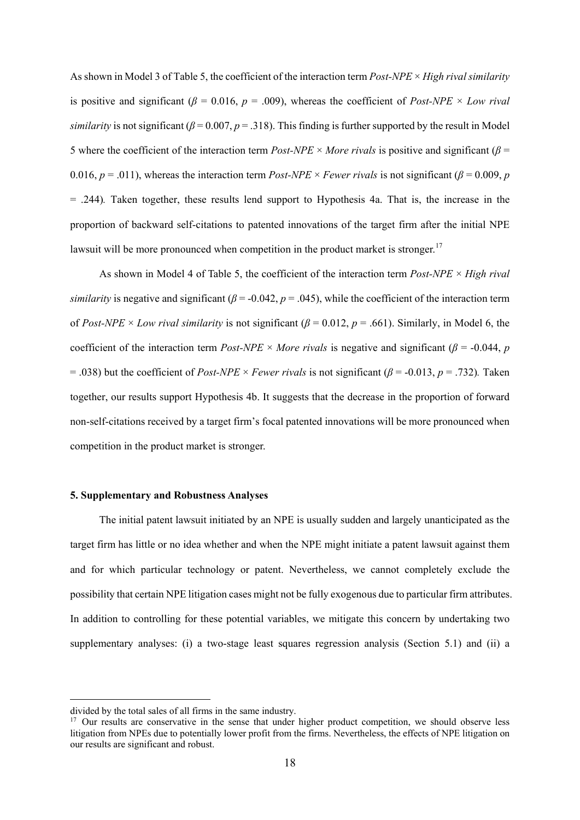As shown in Model 3 of Table 5, the coefficient of the interaction term *Post-NPE* × *High rival similarity* is positive and significant ( $\beta$  = 0.016,  $p$  = .009), whereas the coefficient of *Post-NPE* × *Low rival similarity* is not significant ( $\beta$  = 0.007,  $p$  = .318). This finding is further supported by the result in Model 5 where the coefficient of the interaction term  $Post\text{-}NPE \times More$  *rivals* is positive and significant ( $\beta$  = 0.016,  $p = .011$ ), whereas the interaction term *Post-NPE* × *Fewer rivals* is not significant ( $\beta = 0.009$ , *p* = .244)*.* Taken together, these results lend support to Hypothesis 4a. That is, the increase in the proportion of backward self-citations to patented innovations of the target firm after the initial NPE lawsuit will be more pronounced when competition in the product market is stronger.<sup>[17](#page-18-0)</sup>

As shown in Model 4 of Table 5, the coefficient of the interaction term *Post-NPE* × *High rival similarity* is negative and significant ( $\beta$  = -0.042,  $p$  = .045), while the coefficient of the interaction term of *Post-NPE* × *Low rival similarity* is not significant ( $\beta$  = 0.012,  $p$  = .661). Similarly, in Model 6, the coefficient of the interaction term  $Post-NPE \times More$  *rivals* is negative and significant ( $\beta$  = -0.044, *p*  $=$  .038) but the coefficient of *Post-NPE* × *Fewer rivals* is not significant ( $\beta$  = -0.013, *p* = .732). Taken together, our results support Hypothesis 4b. It suggests that the decrease in the proportion of forward non-self-citations received by a target firm's focal patented innovations will be more pronounced when competition in the product market is stronger.

#### **5. Supplementary and Robustness Analyses**

The initial patent lawsuit initiated by an NPE is usually sudden and largely unanticipated as the target firm has little or no idea whether and when the NPE might initiate a patent lawsuit against them and for which particular technology or patent. Nevertheless, we cannot completely exclude the possibility that certain NPE litigation cases might not be fully exogenous due to particular firm attributes. In addition to controlling for these potential variables, we mitigate this concern by undertaking two supplementary analyses: (i) a two-stage least squares regression analysis (Section 5.1) and (ii) a

.

divided by the total sales of all firms in the same industry.

<span id="page-18-0"></span><sup>&</sup>lt;sup>17</sup> Our results are conservative in the sense that under higher product competition, we should observe less litigation from NPEs due to potentially lower profit from the firms. Nevertheless, the effects of NPE litigation on our results are significant and robust.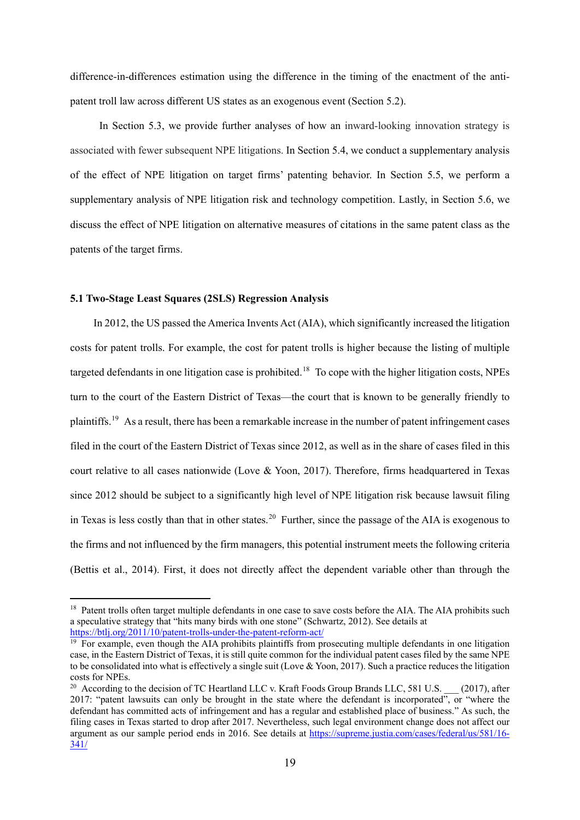difference-in-differences estimation using the difference in the timing of the enactment of the antipatent troll law across different US states as an exogenous event (Section 5.2).

In Section 5.3, we provide further analyses of how an inward-looking innovation strategy is associated with fewer subsequent NPE litigations. In Section 5.4, we conduct a supplementary analysis of the effect of NPE litigation on target firms' patenting behavior. In Section 5.5, we perform a supplementary analysis of NPE litigation risk and technology competition. Lastly, in Section 5.6, we discuss the effect of NPE litigation on alternative measures of citations in the same patent class as the patents of the target firms.

#### **5.1 Two-Stage Least Squares (2SLS) Regression Analysis**

1

In 2012, the US passed the America Invents Act (AIA), which significantly increased the litigation costs for patent trolls. For example, the cost for patent trolls is higher because the listing of multiple targeted defendants in one litigation case is prohibited.<sup>[18](#page-19-0)</sup> To cope with the higher litigation costs, NPEs turn to the court of the Eastern District of Texas—the court that is known to be generally friendly to plaintiffs.[19](#page-19-1) As a result, there has been a remarkable increase in the number of patent infringement cases filed in the court of the Eastern District of Texas since 2012, as well as in the share of cases filed in this court relative to all cases nationwide (Love & Yoon, 2017). Therefore, firms headquartered in Texas since 2012 should be subject to a significantly high level of NPE litigation risk because lawsuit filing in Texas is less costly than that in other states.<sup>[20](#page-19-2)</sup> Further, since the passage of the AIA is exogenous to the firms and not influenced by the firm managers, this potential instrument meets the following criteria (Bettis et al., 2014). First, it does not directly affect the dependent variable other than through the

<span id="page-19-0"></span><sup>&</sup>lt;sup>18</sup> Patent trolls often target multiple defendants in one case to save costs before the AIA. The AIA prohibits such a speculative strategy that "hits many birds with one stone" (Schwartz, 2012). See details at <https://btlj.org/2011/10/patent-trolls-under-the-patent-reform-act/>

<span id="page-19-1"></span><sup>&</sup>lt;sup>19</sup> For example, even though the AIA prohibits plaintiffs from prosecuting multiple defendants in one litigation case, in the Eastern District of Texas, it is still quite common for the individual patent cases filed by the same NPE to be consolidated into what is effectively a single suit (Love & Yoon, 2017). Such a practice reduces the litigation costs for NPEs.

<span id="page-19-2"></span><sup>&</sup>lt;sup>20</sup> According to the decision of TC Heartland LLC v. Kraft Foods Group Brands LLC, 581 U.S.  $(2017)$ , after 2017: "patent lawsuits can only be brought in the state where the defendant is incorporated", or "where the defendant has committed acts of infringement and has a regular and established place of business." As such, the filing cases in Texas started to drop after 2017. Nevertheless, such legal environment change does not affect our argument as our sample period ends in 2016. See details at [https://supreme.justia.com/cases/federal/us/581/16-](https://supreme.justia.com/cases/federal/us/581/16-341/) [341/](https://supreme.justia.com/cases/federal/us/581/16-341/)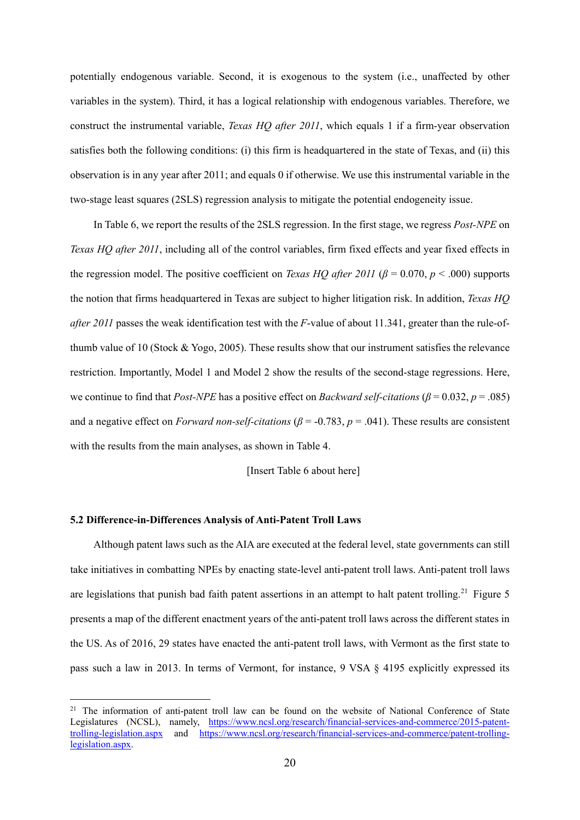potentially endogenous variable. Second, it is exogenous to the system (i.e., unaffected by other variables in the system). Third, it has a logical relationship with endogenous variables. Therefore, we construct the instrumental variable, *Texas HQ after 2011*, which equals 1 if a firm-year observation satisfies both the following conditions: (i) this firm is headquartered in the state of Texas, and (ii) this observation is in any year after 2011; and equals 0 if otherwise. We use this instrumental variable in the two-stage least squares (2SLS) regression analysis to mitigate the potential endogeneity issue.

In Table 6, we report the results of the 2SLS regression. In the first stage, we regress *Post-NPE* on *Texas HQ after 2011*, including all of the control variables, firm fixed effects and year fixed effects in the regression model. The positive coefficient on *Texas HQ after 2011* ( $\beta$  = 0.070,  $p$  < .000) supports the notion that firms headquartered in Texas are subject to higher litigation risk. In addition, *Texas HQ after 2011* passes the weak identification test with the *F*-value of about 11.341, greater than the rule-ofthumb value of 10 (Stock & Yogo, 2005). These results show that our instrument satisfies the relevance restriction. Importantly, Model 1 and Model 2 show the results of the second-stage regressions. Here, we continue to find that *Post-NPE* has a positive effect on *Backward self-citations* (*β* = 0.032, *p* = .085) and a negative effect on *Forward non-self-citations* ( $\beta$  = -0.783,  $p$  = .041). These results are consistent with the results from the main analyses, as shown in Table 4.

[Insert Table 6 about here]

#### **5.2 Difference-in-Differences Analysis of Anti-Patent Troll Laws**

.

Although patent laws such as the AIA are executed at the federal level, state governments can still take initiatives in combatting NPEs by enacting state-level anti-patent troll laws. Anti-patent troll laws are legislations that punish bad faith patent assertions in an attempt to halt patent trolling.<sup>[21](#page-20-0)</sup> Figure 5 presents a map of the different enactment years of the anti-patent troll laws across the different states in the US. As of 2016, 29 states have enacted the anti-patent troll laws, with Vermont as the first state to pass such a law in 2013. In terms of Vermont, for instance, 9 VSA § 4195 explicitly expressed its

<span id="page-20-0"></span><sup>&</sup>lt;sup>21</sup> The information of anti-patent troll law can be found on the website of National Conference of State Legislatures (NCSL), namely, [https://www.ncsl.org/research/financial-services-and-commerce/2015-patent](https://www.ncsl.org/research/financial-services-and-commerce/2015-patent-trolling-legislation.aspx)[trolling-legislation.aspx](https://www.ncsl.org/research/financial-services-and-commerce/2015-patent-trolling-legislation.aspx) and [https://www.ncsl.org/research/financial-services-and-commerce/patent-trolling](https://www.ncsl.org/research/financial-services-and-commerce/patent-trolling-legislation.aspx)[legislation.aspx.](https://www.ncsl.org/research/financial-services-and-commerce/patent-trolling-legislation.aspx)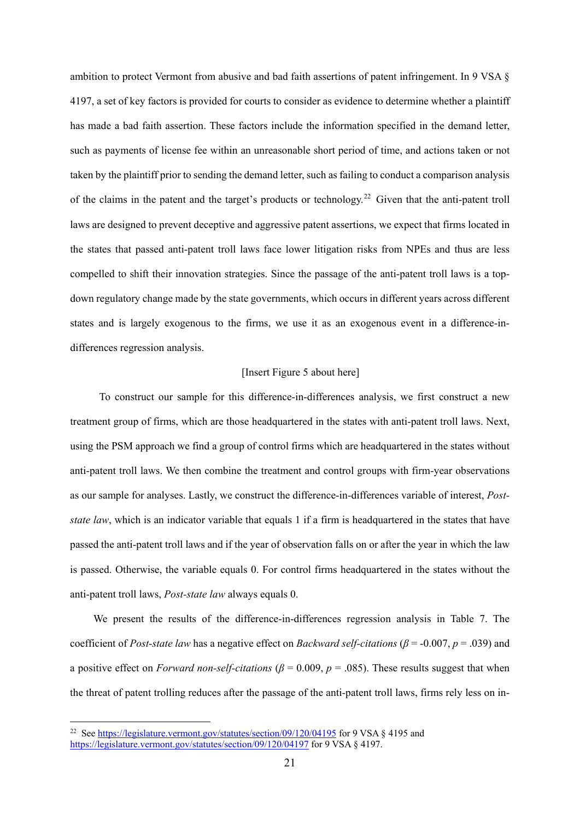ambition to protect Vermont from abusive and bad faith assertions of patent infringement. In 9 VSA § 4197, a set of key factors is provided for courts to consider as evidence to determine whether a plaintiff has made a bad faith assertion. These factors include the information specified in the demand letter, such as payments of license fee within an unreasonable short period of time, and actions taken or not taken by the plaintiff prior to sending the demand letter, such as failing to conduct a comparison analysis of the claims in the patent and the target's products or technology.[22](#page-21-0) Given that the anti-patent troll laws are designed to prevent deceptive and aggressive patent assertions, we expect that firms located in the states that passed anti-patent troll laws face lower litigation risks from NPEs and thus are less compelled to shift their innovation strategies. Since the passage of the anti-patent troll laws is a topdown regulatory change made by the state governments, which occurs in different years across different states and is largely exogenous to the firms, we use it as an exogenous event in a difference-indifferences regression analysis.

#### [Insert Figure 5 about here]

To construct our sample for this difference-in-differences analysis, we first construct a new treatment group of firms, which are those headquartered in the states with anti-patent troll laws. Next, using the PSM approach we find a group of control firms which are headquartered in the states without anti-patent troll laws. We then combine the treatment and control groups with firm-year observations as our sample for analyses. Lastly, we construct the difference-in-differences variable of interest, *Poststate law*, which is an indicator variable that equals 1 if a firm is headquartered in the states that have passed the anti-patent troll laws and if the year of observation falls on or after the year in which the law is passed. Otherwise, the variable equals 0. For control firms headquartered in the states without the anti-patent troll laws, *Post-state law* always equals 0.

We present the results of the difference-in-differences regression analysis in Table 7. The coefficient of *Post-state law* has a negative effect on *Backward self-citations* (*β* = -0.007, *p* = .039) and a positive effect on *Forward non-self-citations* ( $\beta$  = 0.009,  $p$  = .085). These results suggest that when the threat of patent trolling reduces after the passage of the anti-patent troll laws, firms rely less on in-

-

<span id="page-21-0"></span><sup>&</sup>lt;sup>22</sup> See<https://legislature.vermont.gov/statutes/section/09/120/04195> for 9 VSA § 4195 and <https://legislature.vermont.gov/statutes/section/09/120/04197> for 9 VSA 8 4197.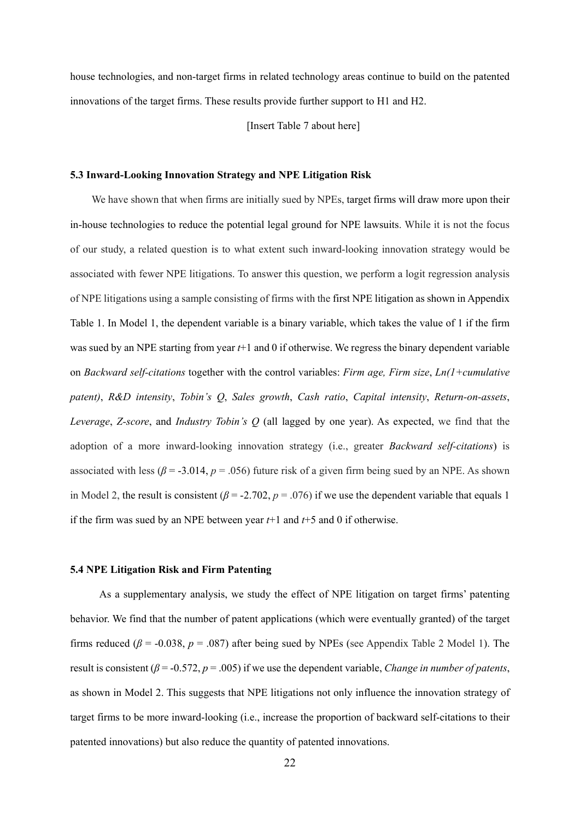house technologies, and non-target firms in related technology areas continue to build on the patented innovations of the target firms. These results provide further support to H1 and H2.

[Insert Table 7 about here]

#### **5.3 Inward-Looking Innovation Strategy and NPE Litigation Risk**

We have shown that when firms are initially sued by NPEs, target firms will draw more upon their in-house technologies to reduce the potential legal ground for NPE lawsuits. While it is not the focus of our study, a related question is to what extent such inward-looking innovation strategy would be associated with fewer NPE litigations. To answer this question, we perform a logit regression analysis of NPE litigations using a sample consisting of firms with the first NPE litigation as shown in Appendix Table 1. In Model 1, the dependent variable is a binary variable, which takes the value of 1 if the firm was sued by an NPE starting from year *t*+1 and 0 if otherwise. We regress the binary dependent variable on *Backward self-citations* together with the control variables: *Firm age, Firm size*, *Ln(1+cumulative patent)*, *R&D intensity*, *Tobin's Q*, *Sales growth*, *Cash ratio*, *Capital intensity*, *Return-on-assets*, *Leverage*, *Z-score*, and *Industry Tobin's Q* (all lagged by one year). As expected, we find that the adoption of a more inward-looking innovation strategy (i.e., greater *Backward self-citations*) is associated with less ( $\beta$  = -3.014,  $p$  = .056) future risk of a given firm being sued by an NPE. As shown in Model 2, the result is consistent  $(\beta = -2.702, p = .076)$  if we use the dependent variable that equals 1 if the firm was sued by an NPE between year *t*+1 and *t*+5 and 0 if otherwise.

#### **5.4 NPE Litigation Risk and Firm Patenting**

As a supplementary analysis, we study the effect of NPE litigation on target firms' patenting behavior. We find that the number of patent applications (which were eventually granted) of the target firms reduced ( $\beta$  = -0.038,  $p$  = .087) after being sued by NPEs (see Appendix Table 2 Model 1). The result is consistent ( $\beta$  = -0.572,  $p$  = .005) if we use the dependent variable, *Change in number of patents*, as shown in Model 2. This suggests that NPE litigations not only influence the innovation strategy of target firms to be more inward-looking (i.e., increase the proportion of backward self-citations to their patented innovations) but also reduce the quantity of patented innovations.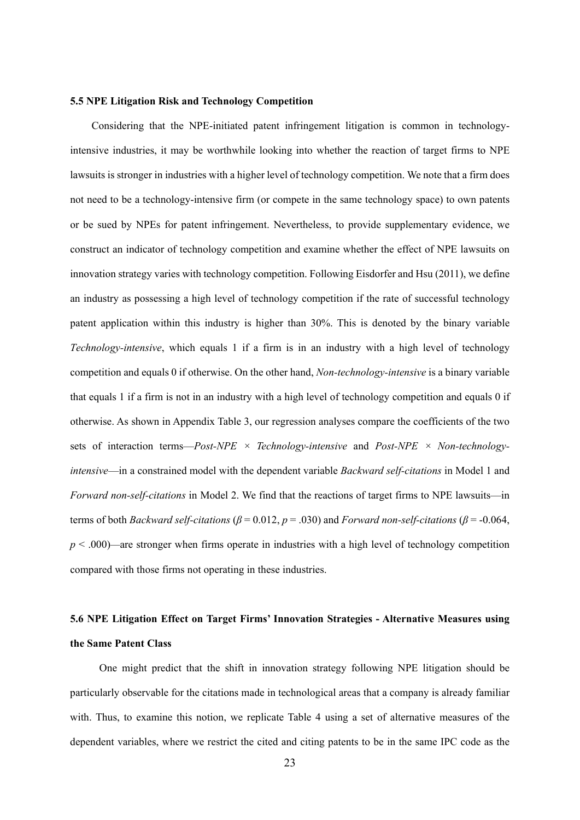#### **5.5 NPE Litigation Risk and Technology Competition**

Considering that the NPE-initiated patent infringement litigation is common in technologyintensive industries, it may be worthwhile looking into whether the reaction of target firms to NPE lawsuits is stronger in industries with a higher level of technology competition. We note that a firm does not need to be a technology-intensive firm (or compete in the same technology space) to own patents or be sued by NPEs for patent infringement. Nevertheless, to provide supplementary evidence, we construct an indicator of technology competition and examine whether the effect of NPE lawsuits on innovation strategy varies with technology competition. Following Eisdorfer and Hsu (2011), we define an industry as possessing a high level of technology competition if the rate of successful technology patent application within this industry is higher than 30%. This is denoted by the binary variable *Technology-intensive*, which equals 1 if a firm is in an industry with a high level of technology competition and equals 0 if otherwise. On the other hand, *Non-technology-intensive* is a binary variable that equals 1 if a firm is not in an industry with a high level of technology competition and equals 0 if otherwise. As shown in Appendix Table 3, our regression analyses compare the coefficients of the two sets of interaction terms—*Post-NPE × Technology-intensive* and *Post-NPE × Non-technologyintensive*—in a constrained model with the dependent variable *Backward self-citations* in Model 1 and *Forward non-self-citations* in Model 2. We find that the reactions of target firms to NPE lawsuits—in terms of both *Backward self-citations* (*β* = 0.012, *p* = .030) and *Forward non-self-citations* (*β* = -0.064, *p* < .000)*—*are stronger when firms operate in industries with a high level of technology competition compared with those firms not operating in these industries.

# **5.6 NPE Litigation Effect on Target Firms' Innovation Strategies - Alternative Measures using the Same Patent Class**

One might predict that the shift in innovation strategy following NPE litigation should be particularly observable for the citations made in technological areas that a company is already familiar with. Thus, to examine this notion, we replicate Table 4 using a set of alternative measures of the dependent variables, where we restrict the cited and citing patents to be in the same IPC code as the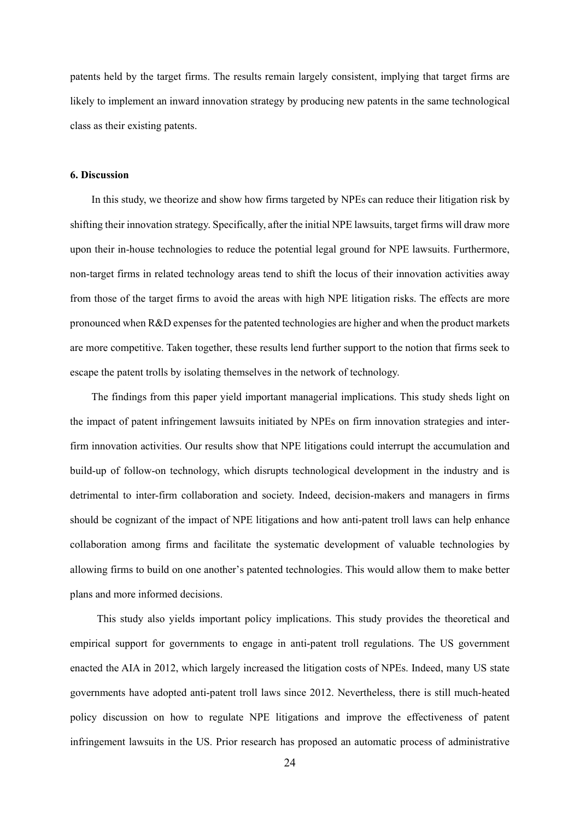patents held by the target firms. The results remain largely consistent, implying that target firms are likely to implement an inward innovation strategy by producing new patents in the same technological class as their existing patents.

#### **6. Discussion**

In this study, we theorize and show how firms targeted by NPEs can reduce their litigation risk by shifting their innovation strategy. Specifically, after the initial NPE lawsuits, target firms will draw more upon their in-house technologies to reduce the potential legal ground for NPE lawsuits. Furthermore, non-target firms in related technology areas tend to shift the locus of their innovation activities away from those of the target firms to avoid the areas with high NPE litigation risks. The effects are more pronounced when R&D expenses for the patented technologies are higher and when the product markets are more competitive. Taken together, these results lend further support to the notion that firms seek to escape the patent trolls by isolating themselves in the network of technology.

The findings from this paper yield important managerial implications. This study sheds light on the impact of patent infringement lawsuits initiated by NPEs on firm innovation strategies and interfirm innovation activities. Our results show that NPE litigations could interrupt the accumulation and build-up of follow-on technology, which disrupts technological development in the industry and is detrimental to inter-firm collaboration and society. Indeed, decision-makers and managers in firms should be cognizant of the impact of NPE litigations and how anti-patent troll laws can help enhance collaboration among firms and facilitate the systematic development of valuable technologies by allowing firms to build on one another's patented technologies. This would allow them to make better plans and more informed decisions.

This study also yields important policy implications. This study provides the theoretical and empirical support for governments to engage in anti-patent troll regulations. The US government enacted the AIA in 2012, which largely increased the litigation costs of NPEs. Indeed, many US state governments have adopted anti-patent troll laws since 2012. Nevertheless, there is still much-heated policy discussion on how to regulate NPE litigations and improve the effectiveness of patent infringement lawsuits in the US. Prior research has proposed an automatic process of administrative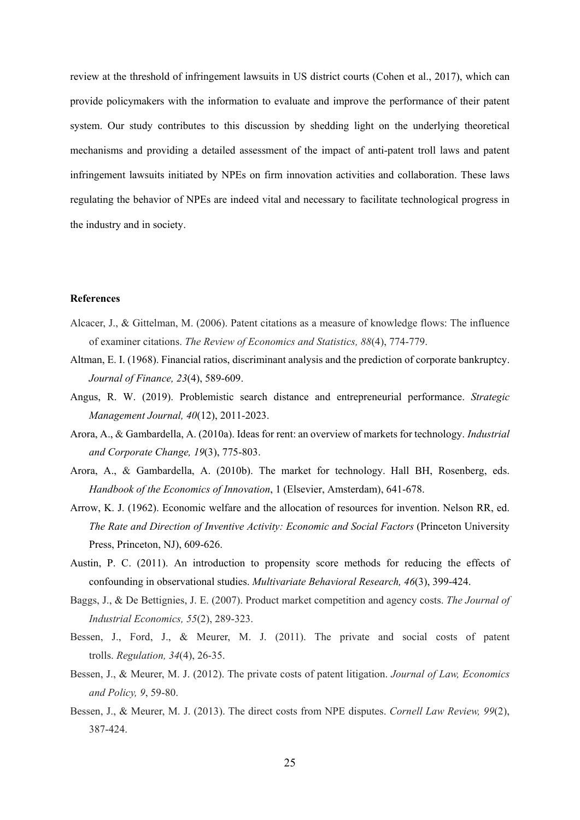review at the threshold of infringement lawsuits in US district courts (Cohen et al., 2017), which can provide policymakers with the information to evaluate and improve the performance of their patent system. Our study contributes to this discussion by shedding light on the underlying theoretical mechanisms and providing a detailed assessment of the impact of anti-patent troll laws and patent infringement lawsuits initiated by NPEs on firm innovation activities and collaboration. These laws regulating the behavior of NPEs are indeed vital and necessary to facilitate technological progress in the industry and in society.

#### **References**

- Alcacer, J., & Gittelman, M. (2006). Patent citations as a measure of knowledge flows: The influence of examiner citations. *The Review of Economics and Statistics, 88*(4), 774-779.
- Altman, E. I. (1968). Financial ratios, discriminant analysis and the prediction of corporate bankruptcy. *Journal of Finance, 23*(4), 589-609.
- Angus, R. W. (2019). Problemistic search distance and entrepreneurial performance. *Strategic Management Journal, 40*(12), 2011-2023.
- Arora, A., & Gambardella, A. (2010a). Ideas for rent: an overview of markets for technology. *Industrial and Corporate Change, 19*(3), 775-803.
- Arora, A., & Gambardella, A. (2010b). The market for technology. Hall BH, Rosenberg, eds. *Handbook of the Economics of Innovation*, 1 (Elsevier, Amsterdam), 641-678.
- Arrow, K. J. (1962). Economic welfare and the allocation of resources for invention. Nelson RR, ed. *The Rate and Direction of Inventive Activity: Economic and Social Factors* (Princeton University Press, Princeton, NJ), 609-626.
- Austin, P. C. (2011). An introduction to propensity score methods for reducing the effects of confounding in observational studies. *Multivariate Behavioral Research, 46*(3), 399-424.
- Baggs, J., & De Bettignies, J. E. (2007). Product market competition and agency costs. *The Journal of Industrial Economics, 55*(2), 289-323.
- Bessen, J., Ford, J., & Meurer, M. J. (2011). The private and social costs of patent trolls. *Regulation, 34*(4), 26-35.
- Bessen, J., & Meurer, M. J. (2012). The private costs of patent litigation. *Journal of Law, Economics and Policy, 9*, 59-80.
- Bessen, J., & Meurer, M. J. (2013). The direct costs from NPE disputes. *Cornell Law Review, 99*(2), 387-424.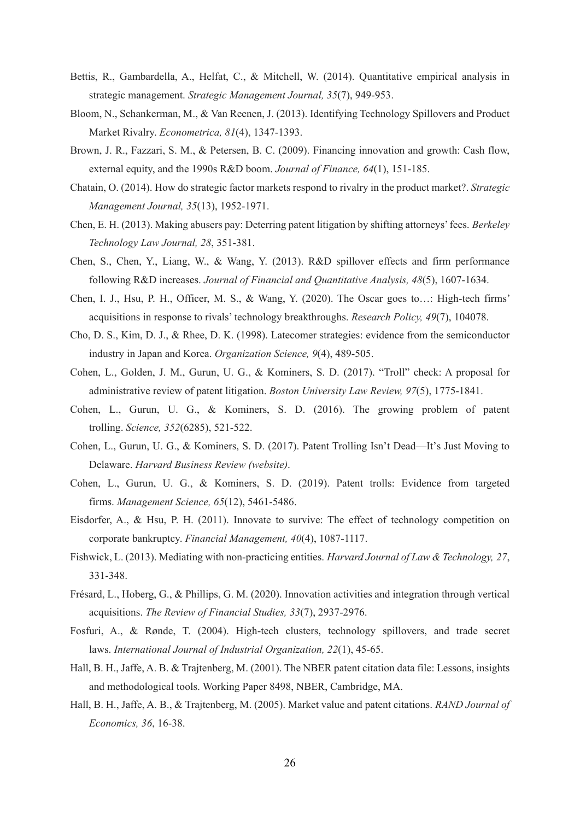- Bettis, R., Gambardella, A., Helfat, C., & Mitchell, W. (2014). Quantitative empirical analysis in strategic management. *Strategic Management Journal, 35*(7), 949-953.
- Bloom, N., Schankerman, M., & Van Reenen, J. (2013). Identifying Technology Spillovers and Product Market Rivalry. *Econometrica, 81*(4), 1347-1393.
- Brown, J. R., Fazzari, S. M., & Petersen, B. C. (2009). Financing innovation and growth: Cash flow, external equity, and the 1990s R&D boom. *Journal of Finance, 64*(1), 151-185.
- Chatain, O. (2014). How do strategic factor markets respond to rivalry in the product market?. *Strategic Management Journal, 35*(13), 1952-1971.
- Chen, E. H. (2013). Making abusers pay: Deterring patent litigation by shifting attorneys' fees. *Berkeley Technology Law Journal, 28*, 351-381.
- Chen, S., Chen, Y., Liang, W., & Wang, Y. (2013). R&D spillover effects and firm performance following R&D increases. *Journal of Financial and Quantitative Analysis, 48*(5), 1607-1634.
- Chen, I. J., Hsu, P. H., Officer, M. S., & Wang, Y. (2020). The Oscar goes to…: High-tech firms' acquisitions in response to rivals' technology breakthroughs. *Research Policy, 49*(7), 104078.
- Cho, D. S., Kim, D. J., & Rhee, D. K. (1998). Latecomer strategies: evidence from the semiconductor industry in Japan and Korea. *Organization Science, 9*(4), 489-505.
- Cohen, L., Golden, J. M., Gurun, U. G., & Kominers, S. D. (2017). "Troll" check: A proposal for administrative review of patent litigation. *Boston University Law Review, 97*(5), 1775-1841.
- Cohen, L., Gurun, U. G., & Kominers, S. D. (2016). The growing problem of patent trolling. *Science, 352*(6285), 521-522.
- Cohen, L., Gurun, U. G., & Kominers, S. D. (2017). Patent Trolling Isn't Dead—It's Just Moving to Delaware. *Harvard Business Review (website)*.
- Cohen, L., Gurun, U. G., & Kominers, S. D. (2019). Patent trolls: Evidence from targeted firms. *Management Science, 65*(12), 5461-5486.
- Eisdorfer, A., & Hsu, P. H. (2011). Innovate to survive: The effect of technology competition on corporate bankruptcy. *Financial Management, 40*(4), 1087-1117.
- Fishwick, L. (2013). Mediating with non-practicing entities. *Harvard Journal of Law & Technology, 27*, 331-348.
- Frésard, L., Hoberg, G., & Phillips, G. M. (2020). Innovation activities and integration through vertical acquisitions. *The Review of Financial Studies, 33*(7), 2937-2976.
- Fosfuri, A., & Rønde, T. (2004). High-tech clusters, technology spillovers, and trade secret laws. *International Journal of Industrial Organization, 22*(1), 45-65.
- Hall, B. H., Jaffe, A. B. & Trajtenberg, M. (2001). The NBER patent citation data file: Lessons, insights and methodological tools. Working Paper 8498, NBER, Cambridge, MA.
- Hall, B. H., Jaffe, A. B., & Trajtenberg, M. (2005). Market value and patent citations. *RAND Journal of Economics, 36*, 16-38.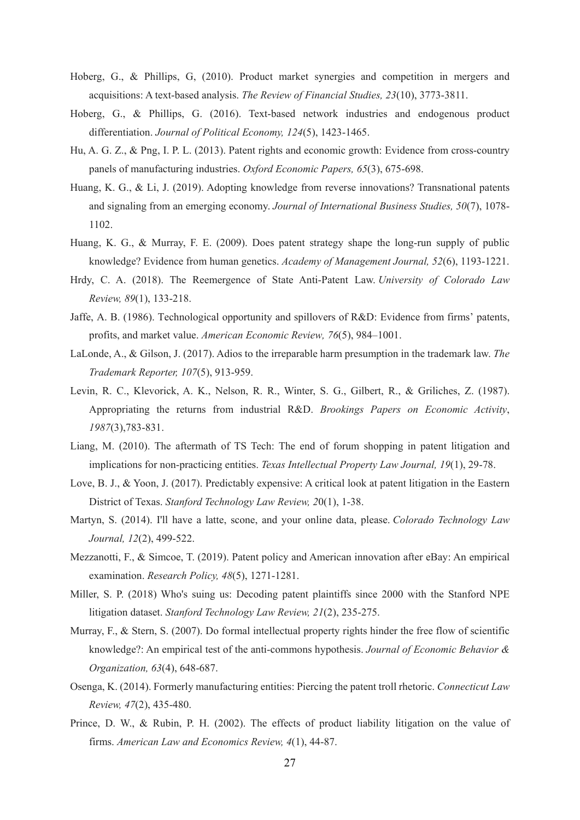- Hoberg, G., & Phillips, G, (2010). Product market synergies and competition in mergers and acquisitions: A text-based analysis. *The Review of Financial Studies, 23*(10), 3773-3811.
- Hoberg, G., & Phillips, G. (2016). Text-based network industries and endogenous product differentiation. *Journal of Political Economy, 124*(5), 1423-1465.
- Hu, A. G. Z., & Png, I. P. L. (2013). Patent rights and economic growth: Evidence from cross-country panels of manufacturing industries. *Oxford Economic Papers, 65*(3), 675-698.
- Huang, K. G., & Li, J. (2019). Adopting knowledge from reverse innovations? Transnational patents and signaling from an emerging economy. *Journal of International Business Studies, 50*(7), 1078- 1102.
- Huang, K. G., & Murray, F. E. (2009). Does patent strategy shape the long-run supply of public knowledge? Evidence from human genetics. *Academy of Management Journal, 52*(6), 1193-1221.
- Hrdy, C. A. (2018). The Reemergence of State Anti-Patent Law. *University of Colorado Law Review, 89*(1), 133-218.
- Jaffe, A. B. (1986). Technological opportunity and spillovers of R&D: Evidence from firms' patents, profits, and market value. *American Economic Review, 76*(5), 984–1001.
- LaLonde, A., & Gilson, J. (2017). Adios to the irreparable harm presumption in the trademark law. *The Trademark Reporter, 107*(5), 913-959.
- Levin, R. C., Klevorick, A. K., Nelson, R. R., Winter, S. G., Gilbert, R., & Griliches, Z. (1987). Appropriating the returns from industrial R&D. *Brookings Papers on Economic Activity*, *1987*(3),783-831.
- Liang, M. (2010). The aftermath of TS Tech: The end of forum shopping in patent litigation and implications for non-practicing entities. *Texas Intellectual Property Law Journal, 19*(1), 29-78.
- Love, B. J., & Yoon, J. (2017). Predictably expensive: A critical look at patent litigation in the Eastern District of Texas. *Stanford Technology Law Review, 2*0(1), 1-38.
- Martyn, S. (2014). I'll have a latte, scone, and your online data, please. *Colorado Technology Law Journal, 12*(2), 499-522.
- Mezzanotti, F., & Simcoe, T. (2019). Patent policy and American innovation after eBay: An empirical examination. *Research Policy, 48*(5), 1271-1281.
- Miller, S. P. (2018) Who's suing us: Decoding patent plaintiffs since 2000 with the Stanford NPE litigation dataset. *Stanford Technology Law Review, 21*(2), 235-275.
- Murray, F., & Stern, S. (2007). Do formal intellectual property rights hinder the free flow of scientific knowledge?: An empirical test of the anti-commons hypothesis. *Journal of Economic Behavior & Organization, 63*(4), 648-687.
- Osenga, K. (2014). Formerly manufacturing entities: Piercing the patent troll rhetoric. *Connecticut Law Review, 47*(2), 435-480.
- Prince, D. W., & Rubin, P. H. (2002). The effects of product liability litigation on the value of firms. *American Law and Economics Review, 4*(1), 44-87.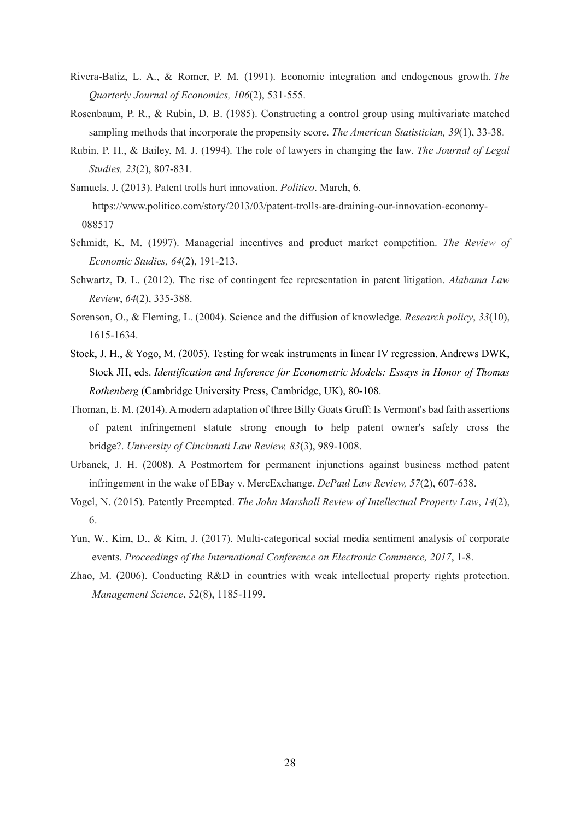- Rivera-Batiz, L. A., & Romer, P. M. (1991). Economic integration and endogenous growth. *The Quarterly Journal of Economics, 106*(2), 531-555.
- Rosenbaum, P. R., & Rubin, D. B. (1985). Constructing a control group using multivariate matched sampling methods that incorporate the propensity score. *The American Statistician, 39*(1), 33-38.
- Rubin, P. H., & Bailey, M. J. (1994). The role of lawyers in changing the law. *The Journal of Legal Studies, 23*(2), 807-831.
- Samuels, J. (2013). Patent trolls hurt innovation. *Politico*. March, 6. https://www.politico.com/story/2013/03/patent-trolls-are-draining-our-innovation-economy-088517
- Schmidt, K. M. (1997). Managerial incentives and product market competition. *The Review of Economic Studies, 64*(2), 191-213.
- Schwartz, D. L. (2012). The rise of contingent fee representation in patent litigation. *Alabama Law Review*, *64*(2), 335-388.
- Sorenson, O., & Fleming, L. (2004). Science and the diffusion of knowledge. *Research policy*, *33*(10), 1615-1634.
- Stock, J. H., & Yogo, M. (2005). Testing for weak instruments in linear IV regression. Andrews DWK, Stock JH, eds. *Identification and Inference for Econometric Models: Essays in Honor of Thomas Rothenberg* (Cambridge University Press, Cambridge, UK), 80-108.
- Thoman, E. M. (2014). A modern adaptation of three Billy Goats Gruff: Is Vermont's bad faith assertions of patent infringement statute strong enough to help patent owner's safely cross the bridge?. *University of Cincinnati Law Review, 83*(3), 989-1008.
- Urbanek, J. H. (2008). A Postmortem for permanent injunctions against business method patent infringement in the wake of EBay v. MercExchange. *DePaul Law Review, 57*(2), 607-638.
- Vogel, N. (2015). Patently Preempted. *The John Marshall Review of Intellectual Property Law*, *14*(2), 6.
- Yun, W., Kim, D., & Kim, J. (2017). Multi-categorical social media sentiment analysis of corporate events. *Proceedings of the International Conference on Electronic Commerce, 2017*, 1-8.
- Zhao, M. (2006). Conducting R&D in countries with weak intellectual property rights protection. *Management Science*, 52(8), 1185-1199.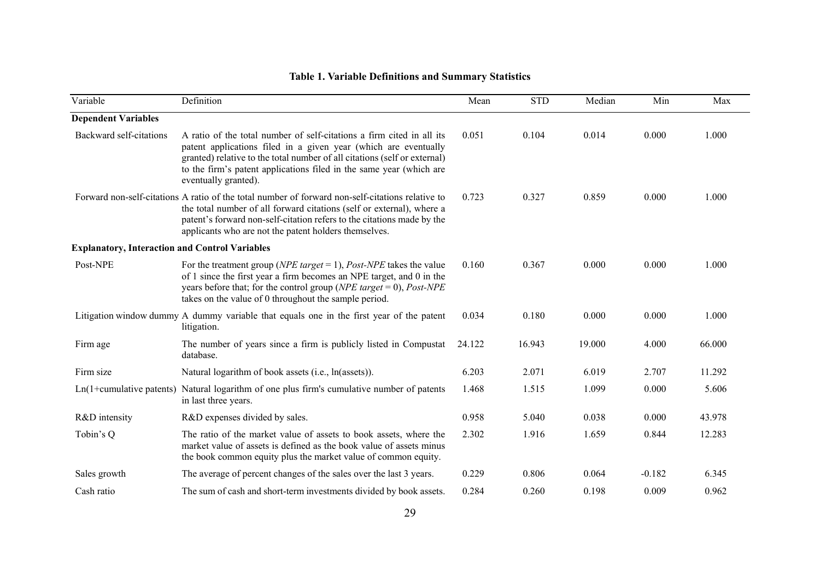| Variable                                              | Definition                                                                                                                                                                                                                                                                                                           | Mean   | <b>STD</b> | Median | Min      | Max    |
|-------------------------------------------------------|----------------------------------------------------------------------------------------------------------------------------------------------------------------------------------------------------------------------------------------------------------------------------------------------------------------------|--------|------------|--------|----------|--------|
| <b>Dependent Variables</b>                            |                                                                                                                                                                                                                                                                                                                      |        |            |        |          |        |
| Backward self-citations                               | A ratio of the total number of self-citations a firm cited in all its<br>patent applications filed in a given year (which are eventually<br>granted) relative to the total number of all citations (self or external)<br>to the firm's patent applications filed in the same year (which are<br>eventually granted). | 0.051  | 0.104      | 0.014  | 0.000    | 1.000  |
|                                                       | Forward non-self-citations A ratio of the total number of forward non-self-citations relative to<br>the total number of all forward citations (self or external), where a<br>patent's forward non-self-citation refers to the citations made by the<br>applicants who are not the patent holders themselves.         | 0.723  | 0.327      | 0.859  | 0.000    | 1.000  |
| <b>Explanatory, Interaction and Control Variables</b> |                                                                                                                                                                                                                                                                                                                      |        |            |        |          |        |
| Post-NPE                                              | For the treatment group ( <i>NPE target</i> = 1), <i>Post-NPE</i> takes the value<br>of 1 since the first year a firm becomes an NPE target, and 0 in the<br>years before that; for the control group ( $NPE$ target = 0), Post-NPE<br>takes on the value of 0 throughout the sample period.                         | 0.160  | 0.367      | 0.000  | 0.000    | 1.000  |
|                                                       | Litigation window dummy A dummy variable that equals one in the first year of the patent<br>litigation.                                                                                                                                                                                                              | 0.034  | 0.180      | 0.000  | 0.000    | 1.000  |
| Firm age                                              | The number of years since a firm is publicly listed in Compustat<br>database.                                                                                                                                                                                                                                        | 24.122 | 16.943     | 19.000 | 4.000    | 66.000 |
| Firm size                                             | Natural logarithm of book assets (i.e., ln(assets)).                                                                                                                                                                                                                                                                 | 6.203  | 2.071      | 6.019  | 2.707    | 11.292 |
|                                                       | Ln(1+cumulative patents) Natural logarithm of one plus firm's cumulative number of patents<br>in last three years.                                                                                                                                                                                                   | 1.468  | 1.515      | 1.099  | 0.000    | 5.606  |
| R&D intensity                                         | R&D expenses divided by sales.                                                                                                                                                                                                                                                                                       | 0.958  | 5.040      | 0.038  | 0.000    | 43.978 |
| Tobin's Q                                             | The ratio of the market value of assets to book assets, where the<br>market value of assets is defined as the book value of assets minus<br>the book common equity plus the market value of common equity.                                                                                                           | 2.302  | 1.916      | 1.659  | 0.844    | 12.283 |
| Sales growth                                          | The average of percent changes of the sales over the last 3 years.                                                                                                                                                                                                                                                   | 0.229  | 0.806      | 0.064  | $-0.182$ | 6.345  |
| Cash ratio                                            | The sum of cash and short-term investments divided by book assets.                                                                                                                                                                                                                                                   | 0.284  | 0.260      | 0.198  | 0.009    | 0.962  |

## **Table 1. Variable Definitions and Summary Statistics**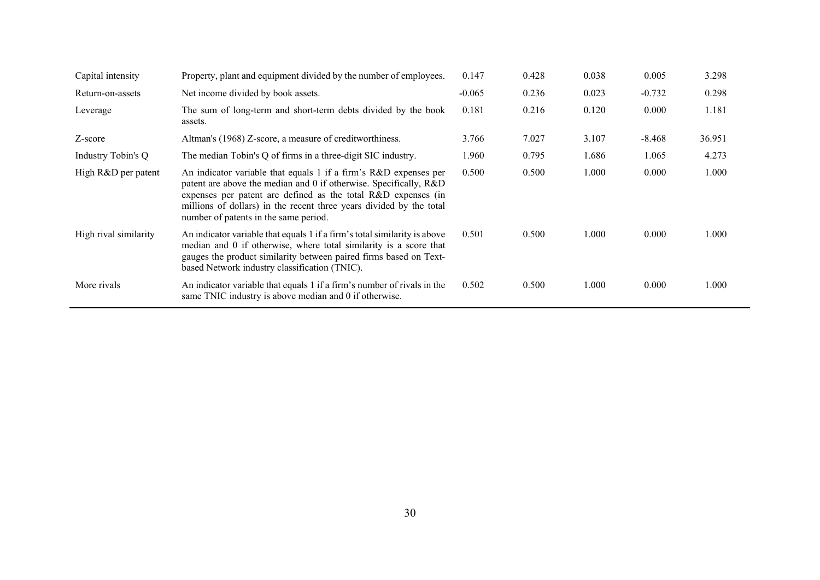| Capital intensity     | Property, plant and equipment divided by the number of employees.                                                                                                                                                                                                                                                      | 0.147    | 0.428 | 0.038 | 0.005    | 3.298  |
|-----------------------|------------------------------------------------------------------------------------------------------------------------------------------------------------------------------------------------------------------------------------------------------------------------------------------------------------------------|----------|-------|-------|----------|--------|
| Return-on-assets      | Net income divided by book assets.                                                                                                                                                                                                                                                                                     | $-0.065$ | 0.236 | 0.023 | $-0.732$ | 0.298  |
| Leverage              | The sum of long-term and short-term debts divided by the book<br>assets.                                                                                                                                                                                                                                               | 0.181    | 0.216 | 0.120 | 0.000    | 1.181  |
| Z-score               | Altman's (1968) Z-score, a measure of creditworthiness.                                                                                                                                                                                                                                                                | 3.766    | 7.027 | 3.107 | $-8.468$ | 36.951 |
| Industry Tobin's Q    | The median Tobin's Q of firms in a three-digit SIC industry.                                                                                                                                                                                                                                                           | 1.960    | 0.795 | 1.686 | 1.065    | 4.273  |
| High R&D per patent   | An indicator variable that equals 1 if a firm's R&D expenses per<br>patent are above the median and 0 if otherwise. Specifically, R&D<br>expenses per patent are defined as the total R&D expenses (in<br>millions of dollars) in the recent three years divided by the total<br>number of patents in the same period. | 0.500    | 0.500 | 1.000 | 0.000    | 1.000  |
| High rival similarity | An indicator variable that equals 1 if a firm's total similarity is above<br>median and 0 if otherwise, where total similarity is a score that<br>gauges the product similarity between paired firms based on Text-<br>based Network industry classification (TNIC).                                                   | 0.501    | 0.500 | 1.000 | 0.000    | 1.000  |
| More rivals           | An indicator variable that equals 1 if a firm's number of rivals in the<br>same TNIC industry is above median and 0 if otherwise.                                                                                                                                                                                      | 0.502    | 0.500 | 1.000 | 0.000    | 1.000  |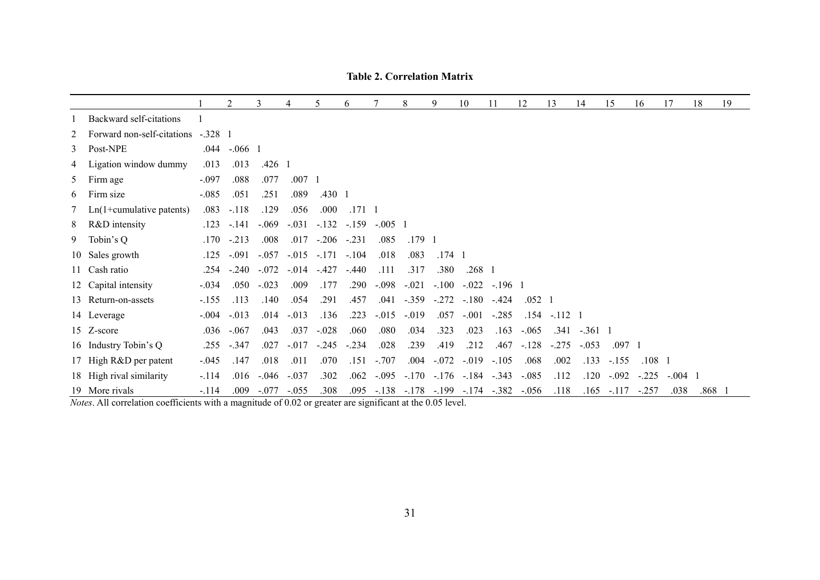|   |                                    |         | 2            | 3            | 4              | 5              | 6          |           | 8              | 9          | 10                                             | 11           | 12             | 13              | 14        | 15             | 16             | 17              | 18       | 19 |
|---|------------------------------------|---------|--------------|--------------|----------------|----------------|------------|-----------|----------------|------------|------------------------------------------------|--------------|----------------|-----------------|-----------|----------------|----------------|-----------------|----------|----|
|   | Backward self-citations            |         |              |              |                |                |            |           |                |            |                                                |              |                |                 |           |                |                |                 |          |    |
| 2 | Forward non-self-citations -.328 1 |         |              |              |                |                |            |           |                |            |                                                |              |                |                 |           |                |                |                 |          |    |
|   | 3 Post-NPE                         | .044    | $-.066$ 1    |              |                |                |            |           |                |            |                                                |              |                |                 |           |                |                |                 |          |    |
| 4 | Ligation window dummy              | .013    | .013         | $.426\quad1$ |                |                |            |           |                |            |                                                |              |                |                 |           |                |                |                 |          |    |
|   | 5 Firm age                         | $-.097$ | .088         | .077         | $.007 \quad 1$ |                |            |           |                |            |                                                |              |                |                 |           |                |                |                 |          |    |
| 6 | Firm size                          | $-.085$ | .051         | .251         | .089           | $.430 \quad 1$ |            |           |                |            |                                                |              |                |                 |           |                |                |                 |          |    |
| 7 | $Ln(1+cumulative$ patents)         | .083    | $-.118$      | .129         | .056           | .000           | $.171 - 1$ |           |                |            |                                                |              |                |                 |           |                |                |                 |          |    |
| 8 | R&D intensity                      | .123    | $-.141$      | $-.069$      | $-.031$        | $-.132$        | $-.159$    | $-.005$ 1 |                |            |                                                |              |                |                 |           |                |                |                 |          |    |
|   | 9 Tobin's Q                        | .170    | $-.213$      | .008         | .017           | $-.206$        | $-.231$    | .085      | $.179 \quad 1$ |            |                                                |              |                |                 |           |                |                |                 |          |    |
|   | 10 Sales growth                    | .125    | $-.091$      | $-.057$      | $-.015$        | $-.171$        | $-.104$    | .018      | .083           | $.174 - 1$ |                                                |              |                |                 |           |                |                |                 |          |    |
|   | 11 Cash ratio                      |         | .254 -.240   | $-.072$      | $-.014$        | $-427$         | $-.440$    | .111      | .317           | .380       | $.268 \quad 1$                                 |              |                |                 |           |                |                |                 |          |    |
|   | 12 Capital intensity               | $-.034$ | .050         | $-.023$      | .009           | .177           | .290       | $-.098$   | $-.021$        | $-.100$    | $-.022$                                        | $-.196$ 1    |                |                 |           |                |                |                 |          |    |
|   | 13 Return-on-assets                | $-155$  | .113         | .140         | .054           | .291           | .457       | .041      | $-.359$        | $-.272$    | $-.180$                                        | $-0.424$     | $.052 \quad 1$ |                 |           |                |                |                 |          |    |
|   | 14 Leverage                        |         | $-.004-.013$ | .014         | $-.013$        | .136           | .223       | $-.015$   | $-.019$        | .057       | $-.001$                                        | $-.285$      |                | $.154 - .112$ 1 |           |                |                |                 |          |    |
|   | 15 Z-score                         | .036    | $-.067$      | .043         | .037           | $-.028$        | .060       | .080      | .034           | .323       | .023                                           | .163         | $-.065$        | .341            | $-.361$ 1 |                |                |                 |          |    |
|   | 16 Industry Tobin's Q              |         | .255 -.347   | .027         | $-.017$        | $-.245$        | $-.234$    | .028      | .239           | .419       | .212                                           | .467         | $-.128$        | $-.275$         | $-.053$   | $.097 \quad 1$ |                |                 |          |    |
|   | 17 High R&D per patent             | $-.045$ | .147         | .018         | .011           | .070           | .151       | $-.707$   | .004           | $-.072$    | $-.019$                                        | $-.105$      | .068           | .002            | .133      | $-.155$        | $.108 \quad 1$ |                 |          |    |
|   | 18 High rival similarity           | $-.114$ | .016         | $-.046$      | $-.037$        | .302           | .062       | $-.095$   | $-.170$        | $-.176$    |                                                | $-.184-.343$ | $-.085$        | .112            | .120      | $-.092$        | $-.225$        | $-.004 \quad 1$ |          |    |
|   | 19 More rivals                     | $-.114$ | .009         | $-.077$      | $-.055$        | .308           |            |           |                |            | .095 - .138 - .178 - .199 - .174 - .382 - .056 |              |                | .118            |           | $.165 - .117$  | $-.257$        | .038            | $.868$ 1 |    |

**Table 2. Correlation Matrix**

*Notes*. All correlation coefficients with a magnitude of 0.02 or greater are significant at the 0.05 level.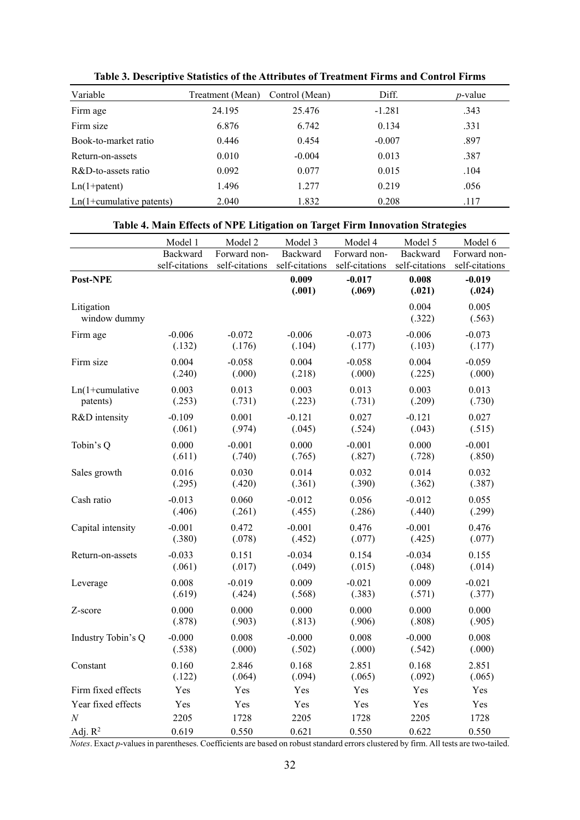| Variable                     | Treatment (Mean) | Control (Mean) | Diff.    | <i>p</i> -value |
|------------------------------|------------------|----------------|----------|-----------------|
| Firm age                     | 24.195           | 25.476         | $-1.281$ | .343            |
| Firm size                    | 6.876            | 6.742          | 0.134    | .331            |
| Book-to-market ratio         | 0.446            | 0.454          | $-0.007$ | .897            |
| Return-on-assets             | 0.010            | $-0.004$       | 0.013    | .387            |
| $R&D$ -to-assets ratio       | 0.092            | 0.077          | 0.015    | .104            |
| $Ln(1 + patent)$             | 1.496            | 1.277          | 0.219    | .056            |
| $Ln(1+cumulative\ patterns)$ | 2.040            | 1.832          | 0.208    | .117            |

**Table 3. Descriptive Statistics of the Attributes of Treatment Firms and Control Firms** 

#### **Table 4. Main Effects of NPE Litigation on Target Firm Innovation Strategies**

|                            | Model 1        | Model 2        | Model 3         | Model 4            | Model 5         | Model 6            |
|----------------------------|----------------|----------------|-----------------|--------------------|-----------------|--------------------|
|                            | Backward       | Forward non-   | Backward        | Forward non-       | Backward        | Forward non-       |
|                            | self-citations | self-citations | self-citations  | self-citations     | self-citations  | self-citations     |
| Post-NPE                   |                |                | 0.009<br>(.001) | $-0.017$<br>(.069) | 0.008<br>(.021) | $-0.019$<br>(.024) |
| Litigation<br>window dummy |                |                |                 |                    | 0.004<br>(.322) | 0.005<br>(.563)    |
| Firm age                   | $-0.006$       | $-0.072$       | $-0.006$        | $-0.073$           | $-0.006$        | $-0.073$           |
|                            | (.132)         | (.176)         | (.104)          | (.177)             | (.103)          | (.177)             |
| Firm size                  | 0.004          | $-0.058$       | 0.004           | $-0.058$           | 0.004           | $-0.059$           |
|                            | (.240)         | (.000)         | (.218)          | (.000)             | (.225)          | (.000)             |
| $Ln(1+cumulative)$         | 0.003          | 0.013          | 0.003           | 0.013              | 0.003           | 0.013              |
| patents)                   | (.253)         | (.731)         | (.223)          | (.731)             | (.209)          | (.730)             |
| R&D intensity              | $-0.109$       | 0.001          | $-0.121$        | 0.027              | $-0.121$        | 0.027              |
|                            | (.061)         | (.974)         | (.045)          | (.524)             | (.043)          | (.515)             |
| Tobin's Q                  | 0.000          | $-0.001$       | 0.000           | $-0.001$           | 0.000           | $-0.001$           |
|                            | (.611)         | (.740)         | (.765)          | (.827)             | (.728)          | (.850)             |
| Sales growth               | 0.016          | 0.030          | 0.014           | 0.032              | 0.014           | 0.032              |
|                            | (.295)         | (.420)         | (.361)          | (.390)             | (.362)          | (.387)             |
| Cash ratio                 | $-0.013$       | 0.060          | $-0.012$        | 0.056              | $-0.012$        | 0.055              |
|                            | (.406)         | (.261)         | (.455)          | (.286)             | (.440)          | (.299)             |
| Capital intensity          | $-0.001$       | 0.472          | $-0.001$        | 0.476              | $-0.001$        | 0.476              |
|                            | (.380)         | (.078)         | (.452)          | (.077)             | (.425)          | (.077)             |
| Return-on-assets           | $-0.033$       | 0.151          | $-0.034$        | 0.154              | $-0.034$        | 0.155              |
|                            | (.061)         | (.017)         | (.049)          | (.015)             | (.048)          | (.014)             |
| Leverage                   | 0.008          | $-0.019$       | 0.009           | $-0.021$           | 0.009           | $-0.021$           |
|                            | (.619)         | (.424)         | (.568)          | (.383)             | (.571)          | (.377)             |
| Z-score                    | 0.000          | 0.000          | 0.000           | 0.000              | 0.000           | 0.000              |
|                            | (.878)         | (.903)         | (.813)          | (.906)             | (.808)          | (.905)             |
| Industry Tobin's Q         | $-0.000$       | 0.008          | $-0.000$        | 0.008              | $-0.000$        | 0.008              |
|                            | (.538)         | (.000)         | (.502)          | (.000)             | (.542)          | (.000)             |
| Constant                   | 0.160          | 2.846          | 0.168           | 2.851              | 0.168           | 2.851              |
|                            | (.122)         | (.064)         | (.094)          | (.065)             | (.092)          | (.065)             |
| Firm fixed effects         | Yes            | Yes            | Yes             | Yes                | Yes             | Yes                |
| Year fixed effects         | Yes            | Yes            | Yes             | Yes                | Yes             | Yes                |
| $\boldsymbol{N}$           | 2205           | 1728           | 2205            | 1728               | 2205            | 1728               |
| Adj. $R^2$                 | 0.619          | 0.550          | 0.621           | 0.550              | 0.622           | 0.550              |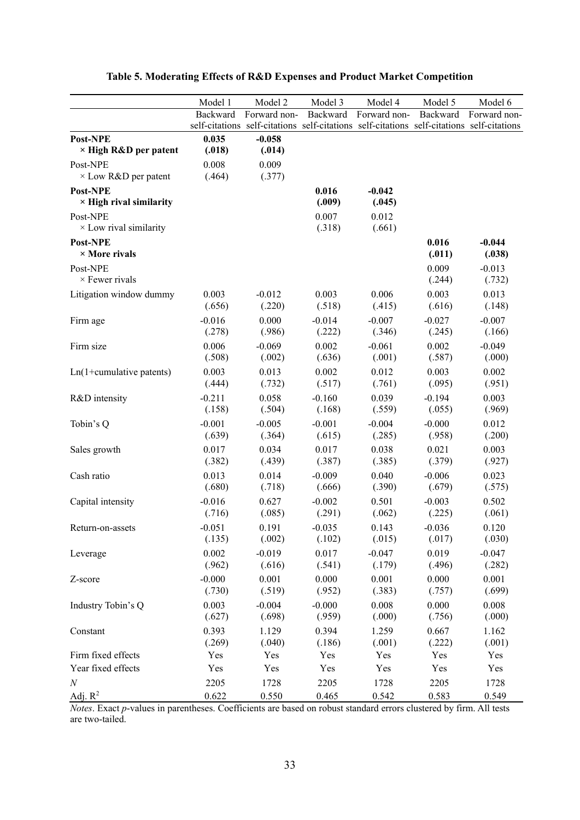|                                            | Model 1         | Model 2                                                                                   | Model 3         | Model 4            | Model 5         | Model 6            |
|--------------------------------------------|-----------------|-------------------------------------------------------------------------------------------|-----------------|--------------------|-----------------|--------------------|
|                                            | Backward        | Forward non-                                                                              | Backward        | Forward non-       | Backward        | Forward non-       |
|                                            |                 | self-citations self-citations self-citations self-citations self-citations self-citations |                 |                    |                 |                    |
| Post-NPE<br>× High R&D per patent          | 0.035<br>(.018) | $-0.058$<br>(.014)                                                                        |                 |                    |                 |                    |
| Post-NPE<br>$\times$ Low R&D per patent    | 0.008<br>(.464) | 0.009<br>(.377)                                                                           |                 |                    |                 |                    |
| Post-NPE<br>$\times$ High rival similarity |                 |                                                                                           | 0.016<br>(.009) | $-0.042$<br>(.045) |                 |                    |
| Post-NPE<br>$\times$ Low rival similarity  |                 |                                                                                           | 0.007<br>(.318) | 0.012<br>(.661)    |                 |                    |
| Post-NPE<br>$\times$ More rivals           |                 |                                                                                           |                 |                    | 0.016<br>(.011) | $-0.044$<br>(.038) |
| Post-NPE<br>$\times$ Fewer rivals          |                 |                                                                                           |                 |                    | 0.009<br>(.244) | $-0.013$<br>(.732) |
| Litigation window dummy                    | 0.003           | $-0.012$                                                                                  | 0.003           | 0.006              | 0.003           | 0.013              |
|                                            | (.656)          | (.220)                                                                                    | (.518)          | (.415)             | (.616)          | (.148)             |
| Firm age                                   | $-0.016$        | 0.000                                                                                     | $-0.014$        | $-0.007$           | $-0.027$        | $-0.007$           |
|                                            | (.278)          | (.986)                                                                                    | (.222)          | (.346)             | (.245)          | (.166)             |
| Firm size                                  | 0.006           | $-0.069$                                                                                  | 0.002           | $-0.061$           | 0.002           | $-0.049$           |
|                                            | (.508)          | (.002)                                                                                    | (.636)          | (.001)             | (.587)          | (.000)             |
| $Ln(1+cumulative\ patterns)$               | 0.003           | 0.013                                                                                     | 0.002           | 0.012              | 0.003           | 0.002              |
|                                            | (.444)          | (.732)                                                                                    | (.517)          | (.761)             | (.095)          | (.951)             |
| R&D intensity                              | $-0.211$        | 0.058                                                                                     | $-0.160$        | 0.039              | $-0.194$        | 0.003              |
|                                            | (.158)          | (.504)                                                                                    | (.168)          | (.559)             | (.055)          | (.969)             |
| Tobin's Q                                  | $-0.001$        | $-0.005$                                                                                  | $-0.001$        | $-0.004$           | $-0.000$        | 0.012              |
|                                            | (.639)          | (.364)                                                                                    | (.615)          | (.285)             | (.958)          | (.200)             |
| Sales growth                               | 0.017           | 0.034                                                                                     | 0.017           | 0.038              | 0.021           | 0.003              |
|                                            | (.382)          | (.439)                                                                                    | (.387)          | (.385)             | (.379)          | (.927)             |
| Cash ratio                                 | 0.013           | 0.014                                                                                     | $-0.009$        | 0.040              | $-0.006$        | 0.023              |
|                                            | (.680)          | (.718)                                                                                    | (.666)          | (.390)             | (.679)          | (.575)             |
| Capital intensity                          | $-0.016$        | 0.627                                                                                     | $-0.002$        | 0.501              | $-0.003$        | 0.502              |
|                                            | (.716)          | (.085)                                                                                    | (.291)          | (.062)             | (.225)          | (.061)             |
| Return-on-assets                           | $-0.051$        | 0.191                                                                                     | $-0.035$        | 0.143              | $-0.036$        | 0.120              |
|                                            | (.135)          | (.002)                                                                                    | (.102)          | (.015)             | (.017)          | (.030)             |
| Leverage                                   | 0.002           | $-0.019$                                                                                  | 0.017           | $-0.047$           | 0.019           | $-0.047$           |
|                                            | (.962)          | (.616)                                                                                    | (.541)          | (.179)             | (.496)          | (.282)             |
| Z-score                                    | $-0.000$        | 0.001                                                                                     | 0.000           | 0.001              | 0.000           | 0.001              |
|                                            | (.730)          | (.519)                                                                                    | (.952)          | (.383)             | (.757)          | (.699)             |
| Industry Tobin's Q                         | 0.003           | $-0.004$                                                                                  | $-0.000$        | 0.008              | 0.000           | 0.008              |
|                                            | (.627)          | (.698)                                                                                    | (.959)          | (.000)             | (.756)          | (.000)             |
| Constant                                   | 0.393           | 1.129                                                                                     | 0.394           | 1.259              | 0.667           | 1.162              |
|                                            | (.269)          | (.040)                                                                                    | (.186)          | (.001)             | (.222)          | (.001)             |
| Firm fixed effects                         | Yes             | Yes                                                                                       | Yes             | Yes                | Yes             | Yes                |
| Year fixed effects                         | Yes             | Yes                                                                                       | Yes             | Yes                | Yes             | Yes                |
| $\boldsymbol{N}$                           | 2205            | 1728                                                                                      | 2205            | 1728               | 2205            | 1728               |
| Adj. $R^2$                                 | 0.622           | 0.550                                                                                     | 0.465           | 0.542              | 0.583           | 0.549              |

## **Table 5. Moderating Effects of R&D Expenses and Product Market Competition**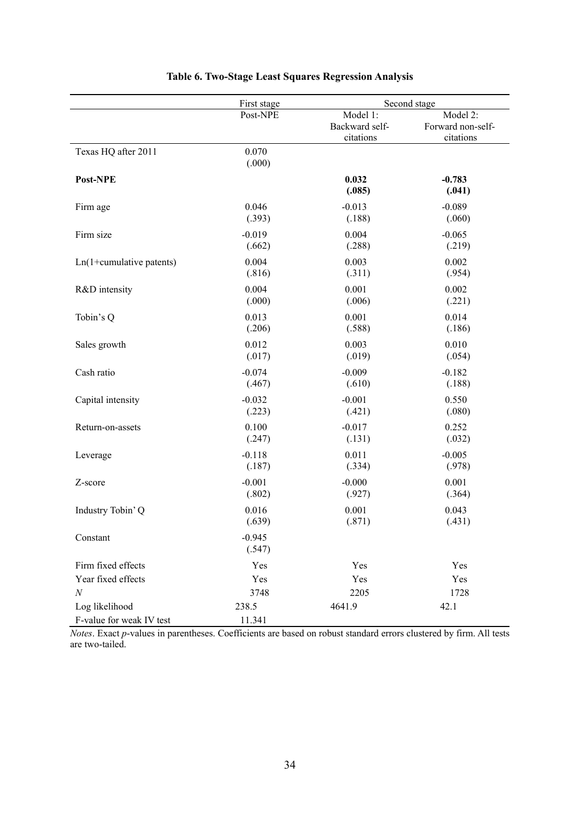|                                            | First stage        | Second stage                            |                                            |  |
|--------------------------------------------|--------------------|-----------------------------------------|--------------------------------------------|--|
|                                            | Post-NPE           | Model 1:<br>Backward self-<br>citations | Model 2:<br>Forward non-self-<br>citations |  |
| Texas HQ after 2011                        | 0.070<br>(.000)    |                                         |                                            |  |
| Post-NPE                                   |                    | 0.032<br>(.085)                         | $-0.783$<br>(.041)                         |  |
| Firm age                                   | 0.046              | $-0.013$                                | $-0.089$                                   |  |
|                                            | (.393)             | (.188)                                  | (.060)                                     |  |
| Firm size                                  | $-0.019$           | 0.004                                   | $-0.065$                                   |  |
|                                            | (.662)             | (.288)                                  | (.219)                                     |  |
| $Ln(1+cumulative\ patterns)$               | 0.004              | 0.003                                   | 0.002                                      |  |
|                                            | (.816)             | (.311)                                  | (.954)                                     |  |
| R&D intensity                              | 0.004              | 0.001                                   | 0.002                                      |  |
|                                            | (.000)             | (.006)                                  | (.221)                                     |  |
| Tobin's Q                                  | 0.013              | 0.001                                   | 0.014                                      |  |
|                                            | (.206)             | (.588)                                  | (.186)                                     |  |
| Sales growth                               | 0.012              | 0.003                                   | 0.010                                      |  |
|                                            | (.017)             | (.019)                                  | (.054)                                     |  |
| Cash ratio                                 | $-0.074$           | $-0.009$                                | $-0.182$                                   |  |
|                                            | (.467)             | (.610)                                  | (.188)                                     |  |
| Capital intensity                          | $-0.032$           | $-0.001$                                | 0.550                                      |  |
|                                            | (.223)             | (.421)                                  | (.080)                                     |  |
| Return-on-assets                           | 0.100              | $-0.017$                                | 0.252                                      |  |
|                                            | (.247)             | (.131)                                  | (.032)                                     |  |
| Leverage                                   | $-0.118$           | 0.011                                   | $-0.005$                                   |  |
|                                            | (.187)             | (.334)                                  | (.978)                                     |  |
| Z-score                                    | $-0.001$           | $-0.000$                                | 0.001                                      |  |
|                                            | (.802)             | (.927)                                  | (.364)                                     |  |
| Industry Tobin' Q                          | 0.016              | 0.001                                   | 0.043                                      |  |
|                                            | (.639)             | (.871)                                  | (.431)                                     |  |
| Constant                                   | $-0.945$<br>(.547) |                                         |                                            |  |
| Firm fixed effects                         | Yes                | Yes                                     | Yes                                        |  |
| Year fixed effects                         | Yes                | Yes                                     | Yes                                        |  |
| $\cal N$                                   | 3748               | 2205                                    | 1728                                       |  |
| Log likelihood<br>F-value for weak IV test | 238.5<br>11.341    | 4641.9                                  | 42.1                                       |  |

## **Table 6. Two-Stage Least Squares Regression Analysis**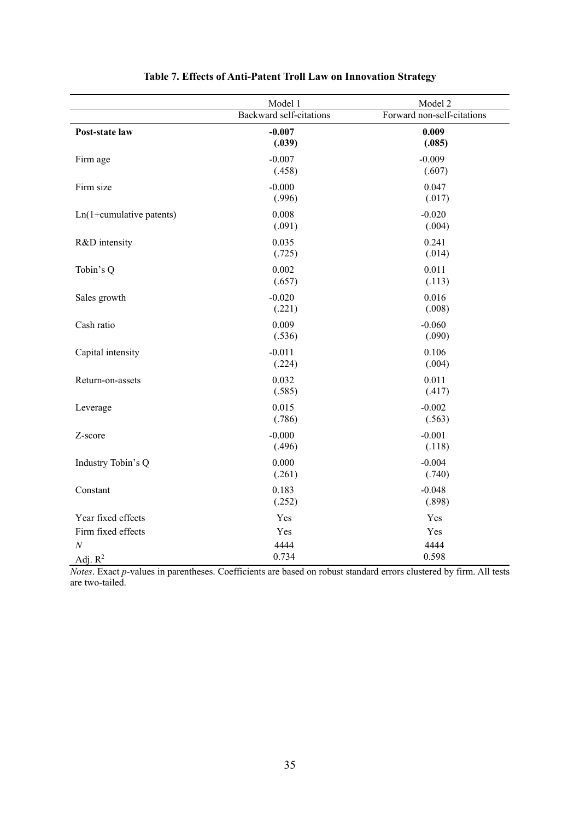|                              | Model 1                 | Model 2                    |
|------------------------------|-------------------------|----------------------------|
|                              | Backward self-citations | Forward non-self-citations |
| Post-state law               | $-0.007$<br>(.039)      | 0.009<br>(.085)            |
| Firm age                     | $-0.007$<br>(.458)      | $-0.009$<br>(.607)         |
| Firm size                    | $-0.000$<br>(.996)      | 0.047<br>(.017)            |
| $Ln(1+cumulative\ patterns)$ | 0.008<br>(.091)         | $-0.020$<br>(.004)         |
| R&D intensity                | 0.035<br>(.725)         | 0.241<br>(.014)            |
| Tobin's Q                    | 0.002<br>(.657)         | 0.011<br>(.113)            |
| Sales growth                 | $-0.020$<br>(.221)      | 0.016<br>(.008)            |
| Cash ratio                   | 0.009<br>(.536)         | $-0.060$<br>(.090)         |
| Capital intensity            | $-0.011$<br>(.224)      | 0.106<br>(.004)            |
| Return-on-assets             | 0.032<br>(.585)         | 0.011<br>(.417)            |
| Leverage                     | 0.015<br>(.786)         | $-0.002$<br>(.563)         |
| Z-score                      | $-0.000$<br>(.496)      | $-0.001$<br>(.118)         |
| Industry Tobin's Q           | 0.000<br>(.261)         | $-0.004$<br>(.740)         |
| Constant                     | 0.183<br>(.252)         | $-0.048$<br>(.898)         |
| Year fixed effects           | Yes                     | Yes                        |
| Firm fixed effects           | Yes                     | Yes                        |
| $\cal N$<br>Adj. $R^2$       | 4444<br>0.734           | 4444<br>0.598              |

## **Table 7. Effects of Anti-Patent Troll Law on Innovation Strategy**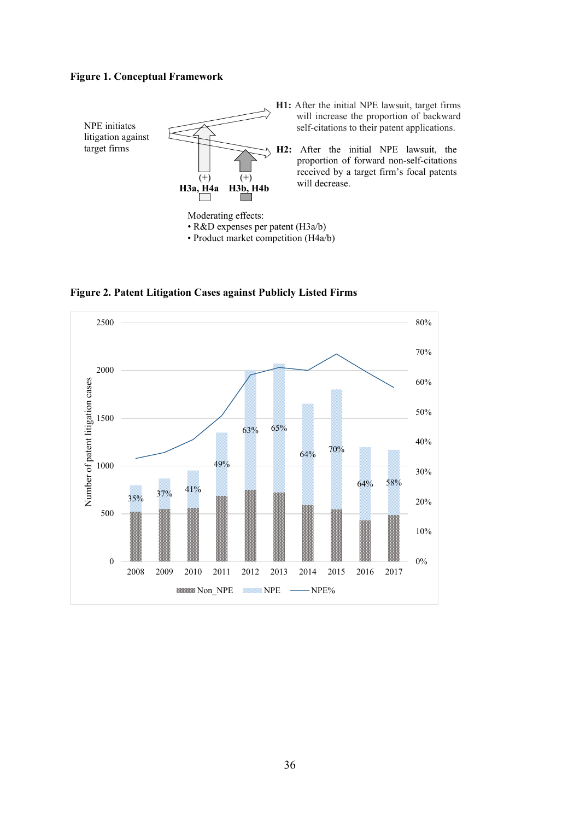#### **Figure 1. Conceptual Framework**



**H1:** After the initial NPE lawsuit, target firms will increase the proportion of backward self-citations to their patent applications.

**H2:** After the initial NPE lawsuit, the proportion of forward non-self-citations received by a target firm's focal patents will decrease.

**Figure 2. Patent Litigation Cases against Publicly Listed Firms**

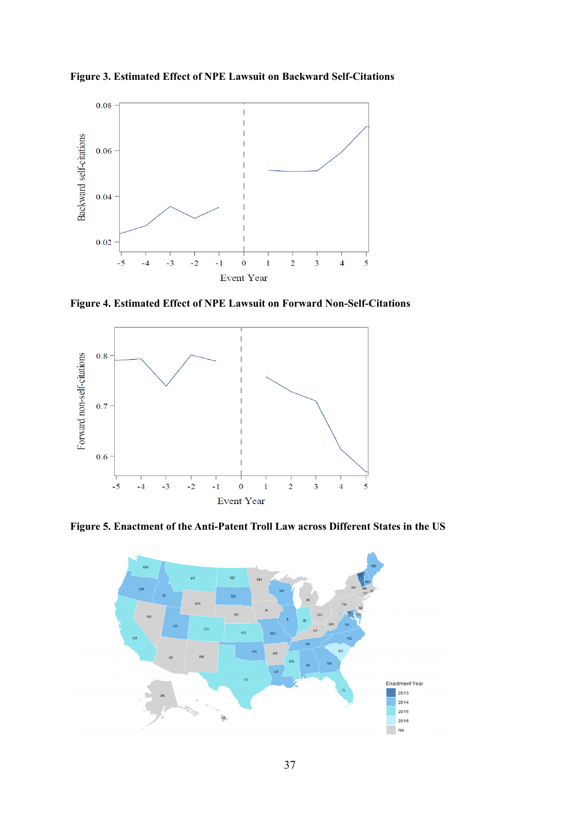**Figure 3. Estimated Effect of NPE Lawsuit on Backward Self-Citations**



**Figure 4. Estimated Effect of NPE Lawsuit on Forward Non-Self-Citations**



**Figure 5. Enactment of the Anti-Patent Troll Law across Different States in the US**

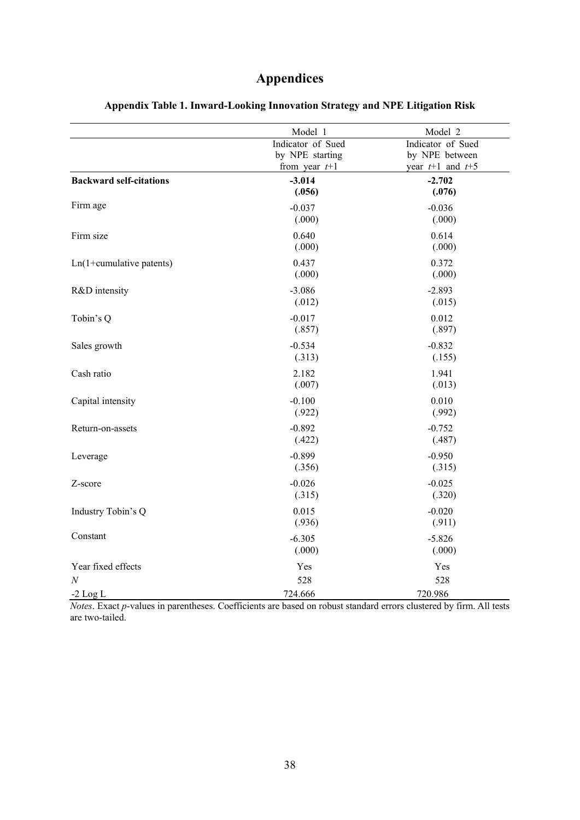# **Appendices**

|                                | Model 1                                                 | Model 2                                                     |
|--------------------------------|---------------------------------------------------------|-------------------------------------------------------------|
|                                | Indicator of Sued<br>by NPE starting<br>from year $t+1$ | Indicator of Sued<br>by NPE between<br>year $t+1$ and $t+5$ |
| <b>Backward self-citations</b> | $-3.014$<br>(.056)                                      | $-2.702$<br>(.076)                                          |
| Firm age                       | $-0.037$<br>(.000)                                      | $-0.036$<br>(.000)                                          |
| Firm size                      | 0.640<br>(.000)                                         | 0.614<br>(.000)                                             |
| $Ln(1+cumulative$ patents)     | 0.437<br>(.000)                                         | 0.372<br>(.000)                                             |
| R&D intensity                  | $-3.086$<br>(.012)                                      | $-2.893$<br>(.015)                                          |
| Tobin's Q                      | $-0.017$<br>(.857)                                      | 0.012<br>(.897)                                             |
| Sales growth                   | $-0.534$<br>(.313)                                      | $-0.832$<br>(.155)                                          |
| Cash ratio                     | 2.182<br>(.007)                                         | 1.941<br>(.013)                                             |
| Capital intensity              | $-0.100$<br>(.922)                                      | 0.010<br>(.992)                                             |
| Return-on-assets               | $-0.892$<br>(.422)                                      | $-0.752$<br>(.487)                                          |
| Leverage                       | $-0.899$<br>(.356)                                      | $-0.950$<br>(.315)                                          |
| Z-score                        | $-0.026$<br>(.315)                                      | $-0.025$<br>(.320)                                          |
| Industry Tobin's Q             | 0.015<br>(.936)                                         | $-0.020$<br>(.911)                                          |
| Constant                       | $-6.305$<br>(.000)                                      | $-5.826$<br>(.000)                                          |
| Year fixed effects             | Yes                                                     | Yes                                                         |
| $\cal N$                       | 528                                                     | 528                                                         |
| $-2$ Log L                     | 724.666                                                 | 720.986                                                     |

## **Appendix Table 1. Inward-Looking Innovation Strategy and NPE Litigation Risk**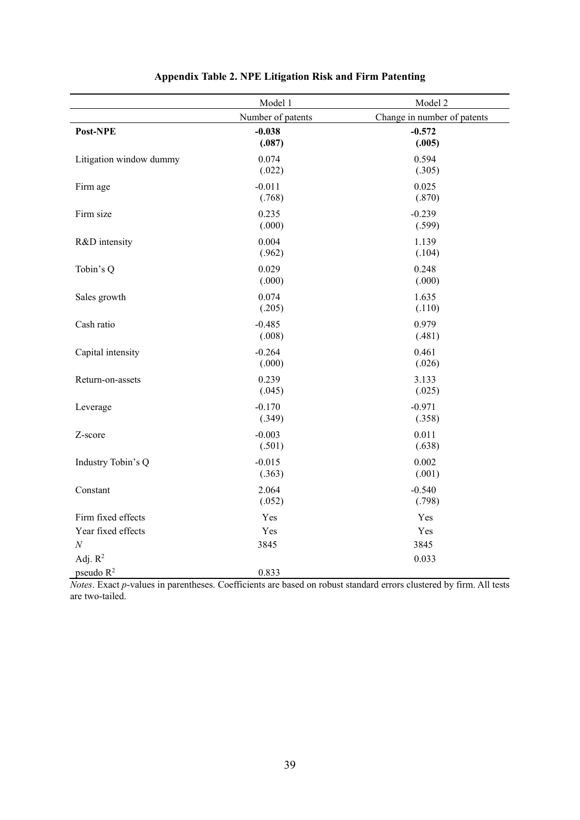|                         | Model 1            | Model 2                     |
|-------------------------|--------------------|-----------------------------|
|                         | Number of patents  | Change in number of patents |
| Post-NPE                | $-0.038$<br>(.087) | $-0.572$<br>(.005)          |
| Litigation window dummy | 0.074<br>(.022)    | 0.594<br>(.305)             |
| Firm age                | $-0.011$<br>(.768) | 0.025<br>(.870)             |
| Firm size               | 0.235<br>(.000)    | $-0.239$<br>(.599)          |
| R&D intensity           | 0.004<br>(.962)    | 1.139<br>(.104)             |
| Tobin's Q               | 0.029<br>(.000)    | 0.248<br>(.000)             |
| Sales growth            | 0.074<br>(.205)    | 1.635<br>(.110)             |
| Cash ratio              | $-0.485$<br>(.008) | 0.979<br>(.481)             |
| Capital intensity       | $-0.264$<br>(.000) | 0.461<br>(.026)             |
| Return-on-assets        | 0.239<br>(.045)    | 3.133<br>(.025)             |
| Leverage                | $-0.170$<br>(.349) | $-0.971$<br>(.358)          |
| Z-score                 | $-0.003$<br>(.501) | 0.011<br>(.638)             |
| Industry Tobin's Q      | $-0.015$<br>(.363) | 0.002<br>(.001)             |
| Constant                | 2.064<br>(.052)    | $-0.540$<br>(.798)          |
| Firm fixed effects      | Yes                | Yes                         |
| Year fixed effects      | Yes                | Yes                         |
| $\cal N$                | 3845               | 3845                        |
| Adj. $R^2$              |                    | 0.033                       |
| pseudo $R^2$            | 0.833              |                             |

## **Appendix Table 2. NPE Litigation Risk and Firm Patenting**